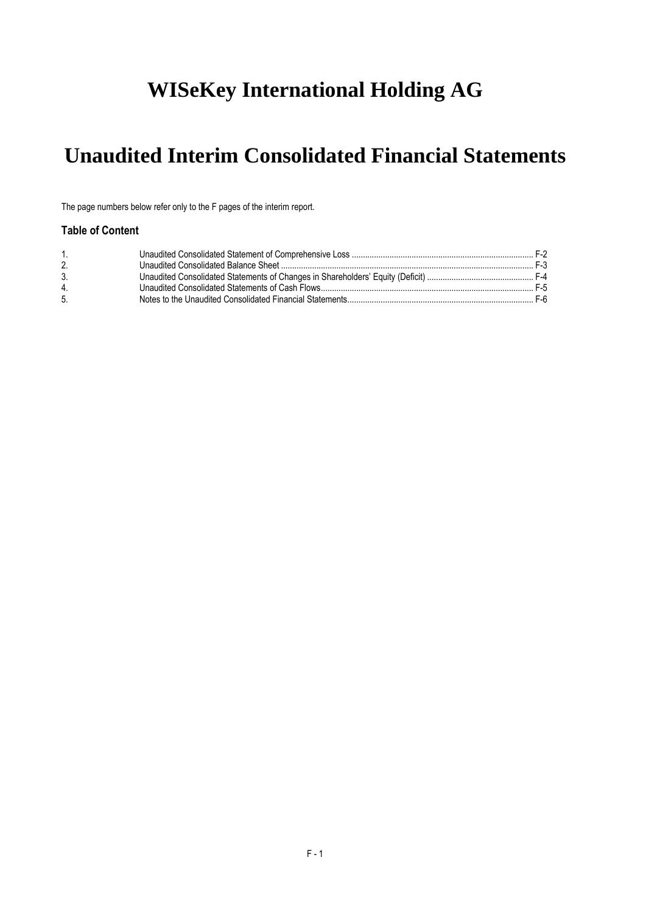# **WISeKey International Holding AG**

# **Unaudited Interim Consolidated Financial Statements**

The page numbers below refer only to the F pages of the interim report.

# **Table of Content**

| 3. |  |
|----|--|
| 4  |  |
| 5. |  |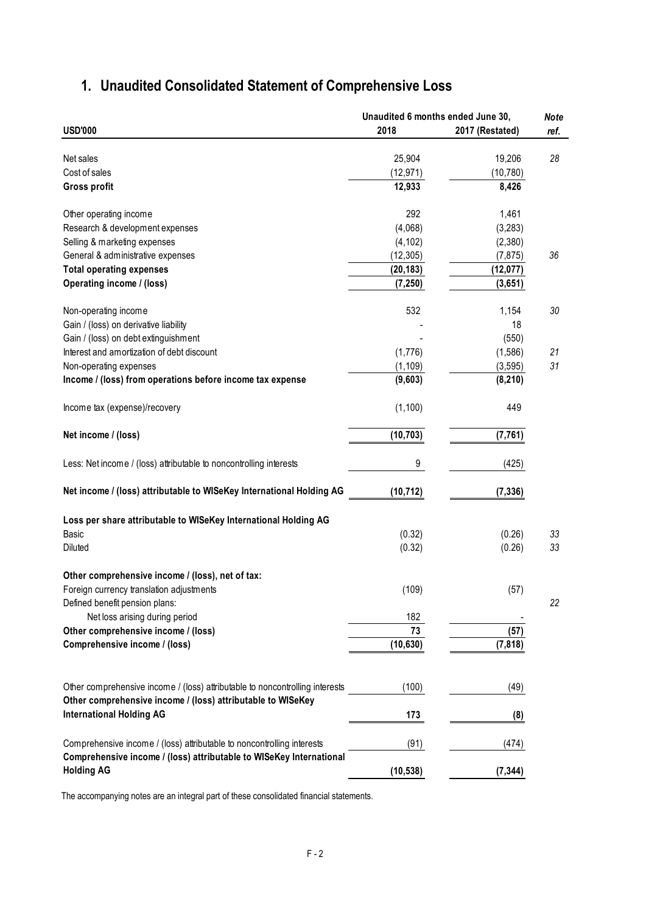# <span id="page-1-0"></span>**1. Unaudited Consolidated Statement of Comprehensive Loss**

|                                                                              | Unaudited 6 months ended June 30, |                 | <b>Note</b> |
|------------------------------------------------------------------------------|-----------------------------------|-----------------|-------------|
| <b>USD'000</b>                                                               | 2018                              | 2017 (Restated) | ref.        |
|                                                                              |                                   |                 |             |
| Net sales                                                                    | 25,904                            | 19,206          | 28          |
| Cost of sales                                                                | (12, 971)                         | (10, 780)       |             |
| <b>Gross profit</b>                                                          | 12,933                            | 8,426           |             |
| Other operating income                                                       | 292                               | 1,461           |             |
| Research & development expenses                                              | (4,068)                           | (3,283)         |             |
| Selling & marketing expenses                                                 | (4, 102)                          | (2,380)         |             |
| General & administrative expenses                                            | (12, 305)                         | (7, 875)        | 36          |
| <b>Total operating expenses</b>                                              | (20, 183)                         | (12, 077)       |             |
| Operating income / (loss)                                                    | (7, 250)                          | (3,651)         |             |
|                                                                              |                                   |                 |             |
| Non-operating income                                                         | 532                               | 1,154           | 30          |
| Gain / (loss) on derivative liability                                        |                                   | 18              |             |
| Gain / (loss) on debt extinguishment                                         |                                   | (550)           |             |
| Interest and amortization of debt discount                                   | (1,776)                           | (1,586)         | 21          |
| Non-operating expenses                                                       | (1, 109)                          | (3, 595)        | 31          |
| Income / (loss) from operations before income tax expense                    | (9,603)                           | (8, 210)        |             |
| Income tax (expense)/recovery                                                | (1, 100)                          | 449             |             |
| Net income / (loss)                                                          | (10, 703)                         | (7, 761)        |             |
|                                                                              |                                   |                 |             |
| Less: Net income / (loss) attributable to noncontrolling interests           | 9                                 | (425)           |             |
| Net income / (loss) attributable to WISeKey International Holding AG         | (10, 712)                         | (7, 336)        |             |
| Loss per share attributable to WISeKey International Holding AG              |                                   |                 |             |
| Basic                                                                        | (0.32)                            | (0.26)          | 33          |
| Diluted                                                                      | (0.32)                            | (0.26)          | 33          |
| Other comprehensive income / (loss), net of tax:                             |                                   |                 |             |
| Foreign currency translation adjustments                                     | (109)                             |                 |             |
|                                                                              |                                   | (57)            |             |
| Defined benefit pension plans:                                               |                                   |                 | 22          |
| Net loss arising during period                                               | 182                               |                 |             |
| Other comprehensive income / (loss)                                          | 73                                | (57)            |             |
| Comprehensive income / (loss)                                                | (10, 630)                         | (7, 818)        |             |
|                                                                              |                                   |                 |             |
| Other comprehensive income / (loss) attributable to noncontrolling interests | (100)                             | (49)            |             |
| Other comprehensive income / (loss) attributable to WISeKey                  |                                   |                 |             |
| <b>International Holding AG</b>                                              | 173                               | (8)             |             |
| Comprehensive income / (loss) attributable to noncontrolling interests       | (91)                              | (474)           |             |
| Comprehensive income / (loss) attributable to WISeKey International          |                                   |                 |             |
| <b>Holding AG</b>                                                            | (10, 538)                         | (7, 344)        |             |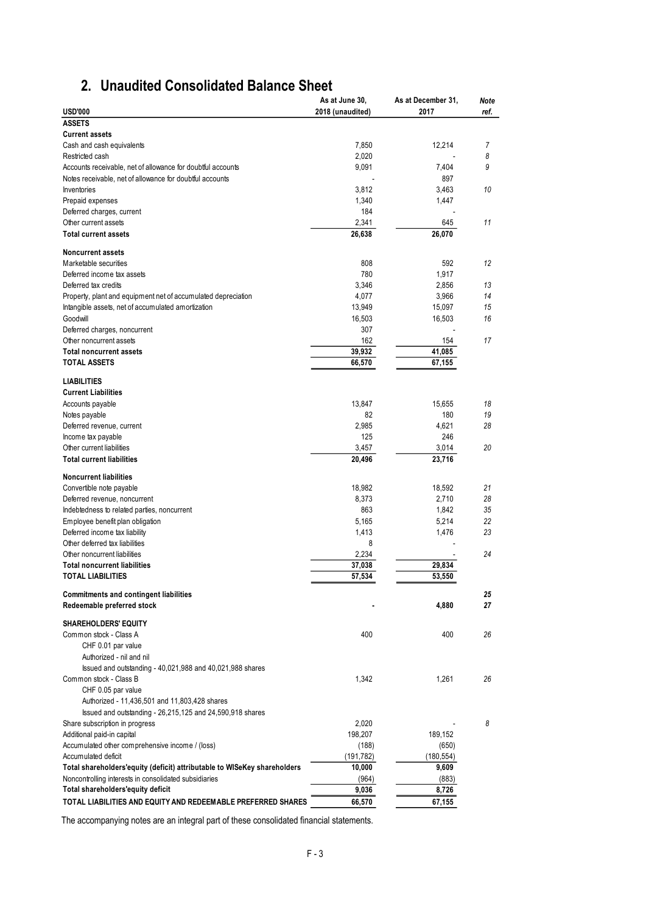# **2. Unaudited Consolidated Balance Sheet**

<span id="page-2-0"></span>

|                                                                                                                         | As at June 30,   | As at December 31, | <b>Note</b> |
|-------------------------------------------------------------------------------------------------------------------------|------------------|--------------------|-------------|
| <b>USD'000</b>                                                                                                          | 2018 (unaudited) | 2017               | ref.        |
| <b>ASSETS</b>                                                                                                           |                  |                    |             |
| <b>Current assets</b>                                                                                                   |                  |                    |             |
| Cash and cash equivalents                                                                                               | 7,850            | 12,214             | 7           |
| Restricted cash                                                                                                         | 2,020            |                    | 8<br>9      |
| Accounts receivable, net of allowance for doubtful accounts<br>Notes receivable, net of allowance for doubtful accounts | 9,091            | 7,404<br>897       |             |
| Inventories                                                                                                             | 3,812            | 3,463              | 10          |
| Prepaid expenses                                                                                                        | 1,340            | 1,447              |             |
| Deferred charges, current                                                                                               | 184              |                    |             |
| Other current assets                                                                                                    | 2.341            | 645                | 11          |
| <b>Total current assets</b>                                                                                             | 26,638           | 26,070             |             |
| <b>Noncurrent assets</b>                                                                                                |                  |                    |             |
| Marketable securities                                                                                                   | 808              | 592                | 12          |
| Deferred income tax assets                                                                                              | 780              | 1,917              |             |
| Deferred tax credits                                                                                                    | 3,346            | 2,856              | 13          |
| Property, plant and equipment net of accumulated depreciation                                                           | 4,077            | 3,966              | 14          |
| Intangible assets, net of accumulated amortization                                                                      | 13,949           | 15,097             | 15          |
| Goodwill                                                                                                                | 16,503           | 16,503             | 16          |
| Deferred charges, noncurrent<br>Other noncurrent assets                                                                 | 307<br>162       | 154                | 17          |
| <b>Total noncurrent assets</b>                                                                                          | 39,932           | 41,085             |             |
| <b>TOTAL ASSETS</b>                                                                                                     | 66,570           | 67,155             |             |
|                                                                                                                         |                  |                    |             |
| <b>LIABILITIES</b>                                                                                                      |                  |                    |             |
| <b>Current Liabilities</b>                                                                                              |                  |                    |             |
| Accounts payable                                                                                                        | 13,847           | 15,655             | 18          |
| Notes payable                                                                                                           | 82               | 180                | 19          |
| Deferred revenue, current                                                                                               | 2,985            | 4,621              | 28          |
| Income tax payable                                                                                                      | 125              | 246                |             |
| Other current liabilities                                                                                               | 3,457            | 3,014              | 20          |
| <b>Total current liabilities</b>                                                                                        | 20,496           | 23,716             |             |
| <b>Noncurrent liabilities</b>                                                                                           |                  |                    |             |
| Convertible note payable                                                                                                | 18,982           | 18,592             | 21          |
| Deferred revenue, noncurrent                                                                                            | 8,373            | 2,710              | 28          |
| Indebtedness to related parties, noncurrent                                                                             | 863              | 1,842              | 35          |
| Employee benefit plan obligation                                                                                        | 5,165            | 5,214              | 22          |
| Deferred income tax liability                                                                                           | 1,413            | 1,476              | 23          |
| Other deferred tax liabilities                                                                                          | 8                |                    |             |
| Other noncurrent liabilities                                                                                            | 2,234            |                    | 24          |
| <b>Total noncurrent liabilities</b>                                                                                     | 37,038           | 29,834             |             |
| <b>TOTAL LIABILITIES</b>                                                                                                | 57,534           | 53,550             |             |
| <b>Commitments and contingent liabilities</b>                                                                           |                  |                    | 25          |
| Redeemable preferred stock                                                                                              |                  | 4,880              | 27          |
| <b>SHAREHOLDERS' EQUITY</b>                                                                                             |                  |                    |             |
| Common stock - Class A                                                                                                  | 400              | 400                | 26          |
| CHF 0.01 par value                                                                                                      |                  |                    |             |
| Authorized - nil and nil                                                                                                |                  |                    |             |
| Issued and outstanding - 40,021,988 and 40,021,988 shares                                                               |                  |                    |             |
| Common stock - Class B                                                                                                  | 1,342            | 1,261              | 26          |
| CHF 0.05 par value                                                                                                      |                  |                    |             |
| Authorized - 11,436,501 and 11,803,428 shares                                                                           |                  |                    |             |
| Issued and outstanding - 26,215,125 and 24,590,918 shares                                                               |                  |                    |             |
| Share subscription in progress                                                                                          | 2,020            |                    | 8           |
| Additional paid-in capital                                                                                              | 198,207          | 189,152            |             |
| Accumulated other comprehensive income / (loss)                                                                         | (188)            | (650)              |             |
| Accumulated deficit                                                                                                     | (191, 782)       | (180, 554)         |             |
| Total shareholders'equity (deficit) attributable to WISeKey shareholders                                                | 10,000           | 9,609              |             |
| Noncontrolling interests in consolidated subsidiaries                                                                   | (964)            | (883)              |             |
| Total shareholders'equity deficit                                                                                       | 9,036            | 8,726              |             |
| TOTAL LIABILITIES AND EQUITY AND REDEEMABLE PREFERRED SHARES                                                            | 66,570           | 67,155             |             |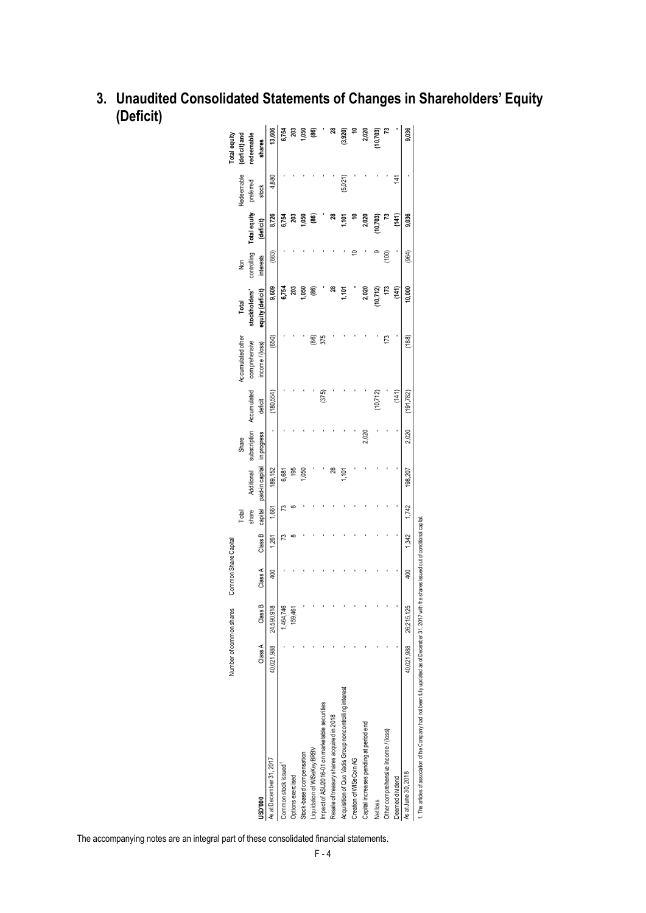|                                                        |            | Number of common shares | Common Share Capital |         |         |                             |       |                          |                   |                  |             |              |            | Totalequity              |
|--------------------------------------------------------|------------|-------------------------|----------------------|---------|---------|-----------------------------|-------|--------------------------|-------------------|------------------|-------------|--------------|------------|--------------------------|
|                                                        |            |                         |                      |         | Total   |                             | Share |                          | Accumulated other | Total            | <b>Non</b>  |              | Redeemable | (deficit) and            |
|                                                        |            |                         |                      |         | share   | Additional                  |       | subscription Accumulated | comprehensive     | stockholders'    | controlling | Total equity | preferred  | redeemable               |
| USD'000                                                | Class A    | Class B                 | Class A              | Class B | capital | paid-in capital in progress |       | deficit                  | income/(loss)     | equity (deficit) | interests   | (deficit)    | stock      | shares                   |
| As at December 31, 2017                                | 40,021,988 | 24,590,918              | 400                  | 1,261   | 1,661   | 189,152                     |       | (180,554)                | (650)             | 9,609            | (883)       | 8,726        | 4,880      | 13,606                   |
| Common stock issued <sup>1</sup>                       |            | 1,464,746               |                      | ಌ       | ಌ       | 6,681                       |       |                          |                   | 6,754            |             | 6,754        |            | 6,754                    |
| Options exercised                                      |            | 159,461                 |                      |         |         | 195                         |       |                          |                   | 203              |             | 203          |            | 203                      |
| Stock-based compensation                               |            |                         |                      |         |         | 050                         |       |                          |                   | ,050             |             | ,050         |            | 1,050                    |
| iquidation of WISeKey BRBV                             |            |                         |                      |         |         |                             |       |                          | මි                | මෙ               |             | මෙ           |            | $\overline{\mathbf{86}}$ |
| Impact of ASU2016-01 on marketable securities          |            |                         |                      |         |         |                             |       | (375)                    | 375               |                  |             |              |            |                          |
| Resale of treasury shares acquired in 2018             |            |                         |                      |         |         | జ                           |       |                          |                   | జ                |             |              |            | జ                        |
| Acquisition of Quo Vadis Group noncontrolling interest |            |                         |                      |         |         | ,101                        |       |                          |                   | Σ<br>110         |             | 110T         | (5,021)    | (3,920)                  |
| Creation of WISeCoin AG                                |            |                         |                      |         |         |                             |       |                          |                   |                  |             |              |            |                          |
| Capital increases pending at period end                |            |                         |                      |         |         |                             | 2,020 |                          |                   | 2,020            |             | 2,020        |            | 2,020                    |
| Net loss                                               |            |                         |                      |         |         |                             |       | (10, 712)                |                   | (10, 712)        |             | 10,703)      |            | 10,703)                  |
| Other comprehensive income / (loss)                    |            |                         |                      |         |         |                             |       |                          | 173               | 173              | (001)       |              |            |                          |
| Deemed dividend                                        |            |                         |                      |         |         |                             |       | $\left(141\right)$       |                   | (141)            |             | (141)        | 141        |                          |
| As at June 30, 2018                                    | 40,021,988 | 26,215,125              | 400                  | 1,342   | 1,742   | 198,207                     | 2,020 | 191,782                  | (88)              | 10,000           | (964)       | 9,036        |            | 9,036                    |

<span id="page-3-0"></span>**3. Unaudited Consolidated Statements of Changes in Shareholders' Equity (Deficit)**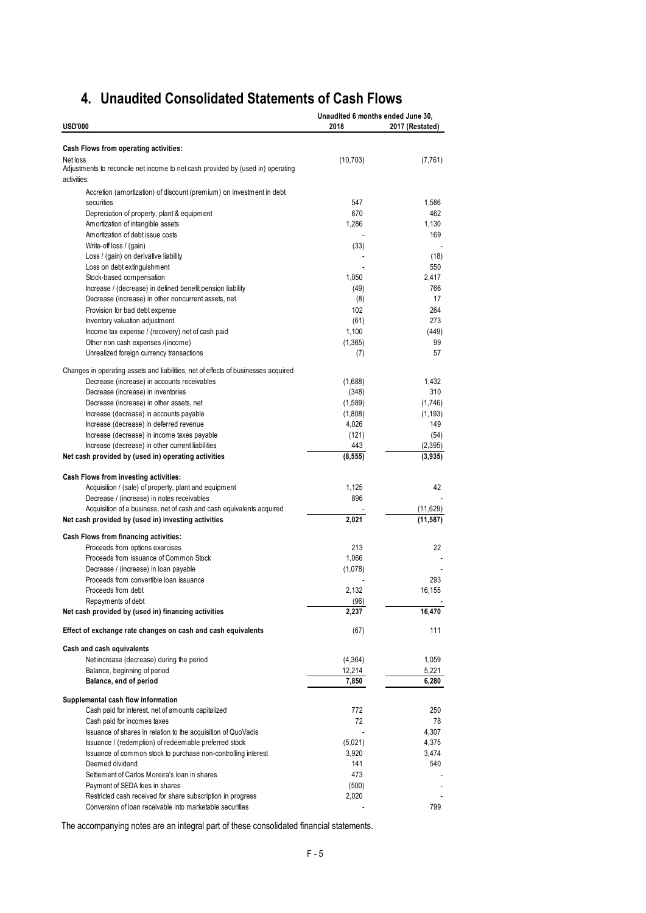# <span id="page-4-0"></span>**4. Unaudited Consolidated Statements of Cash Flows**

| <b>USD'000</b>                                                                                             | Unaudited 6 months ended June 30,<br>2018 | 2017 (Restated)  |
|------------------------------------------------------------------------------------------------------------|-------------------------------------------|------------------|
|                                                                                                            |                                           |                  |
| Cash Flows from operating activities:                                                                      |                                           |                  |
| Net loss<br>Adjustments to reconcile net income to net cash provided by (used in) operating<br>activities: | (10, 703)                                 | (7, 761)         |
| Accretion (amortization) of discount (premium) on investment in debt                                       |                                           |                  |
| securities                                                                                                 | 547                                       | 1,586            |
| Depreciation of property, plant & equipment                                                                | 670                                       | 462              |
| Amortization of intangible assets                                                                          | 1,286                                     | 1,130            |
| Amortization of debt issue costs                                                                           |                                           | 169              |
| Write-off loss / (gain)                                                                                    | (33)                                      |                  |
| Loss / (gain) on derivative liability                                                                      |                                           | (18)             |
| Loss on debt extinguishment                                                                                |                                           | 550              |
| Stock-based compensation                                                                                   | 1,050                                     | 2,417            |
| Increase / (decrease) in defined benefit pension liability                                                 | (49)                                      | 766              |
| Decrease (increase) in other noncurrent assets, net                                                        | (8)                                       | 17               |
| Provision for bad debt expense                                                                             | 102                                       | 264              |
| Inventory valuation adjustment                                                                             | (61)                                      | 273              |
| Income tax expense / (recovery) net of cash paid                                                           | 1,100                                     | (449)            |
| Other non cash expenses /(income)                                                                          | (1, 365)                                  | 99               |
| Unrealized foreign currency transactions                                                                   | (7)                                       | 57               |
| Changes in operating assets and liabilities, net of effects of businesses acquired                         |                                           |                  |
| Decrease (increase) in accounts receivables                                                                | (1,688)                                   | 1,432            |
| Decrease (increase) in inventories                                                                         | (348)                                     | 310              |
| Decrease (increase) in other assets, net                                                                   | (1,589)                                   | (1,746)          |
| Increase (decrease) in accounts payable                                                                    | (1,808)                                   | (1, 193)         |
| Increase (decrease) in deferred revenue                                                                    | 4,026                                     | 149              |
| Increase (decrease) in income taxes payable<br>Increase (decrease) in other current liabilities            | (121)<br>443                              | (54)<br>(2, 395) |
| Net cash provided by (used in) operating activities                                                        | (8, 555)                                  | (3,935)          |
|                                                                                                            |                                           |                  |
| Cash Flows from investing activities:<br>Acquisition / (sale) of property, plant and equipment             | 1,125                                     | 42               |
| Decrease / (increase) in notes receivables                                                                 | 896                                       |                  |
| Acquisition of a business, net of cash and cash equivalents acquired                                       |                                           | (11,629)         |
| Net cash provided by (used in) investing activities                                                        | 2,021                                     | (11, 587)        |
|                                                                                                            |                                           |                  |
| Cash Flows from financing activities:<br>Proceeds from options exercises                                   | 213                                       | 22               |
| Proceeds from issuance of Common Stock                                                                     | 1,066                                     |                  |
| Decrease / (increase) in loan payable                                                                      | (1,078)                                   |                  |
| Proceeds from convertible loan issuance                                                                    |                                           | 293              |
| Proceeds from debt                                                                                         | 2,132                                     | 16,155           |
| Repayments of debt                                                                                         | (96)                                      |                  |
| Net cash provided by (used in) financing activities                                                        | 2,237                                     | 16,470           |
| Effect of exchange rate changes on cash and cash equivalents                                               | (67)                                      | 111              |
| Cash and cash equivalents                                                                                  |                                           |                  |
| Net increase (decrease) during the period                                                                  | (4, 364)                                  | 1,059            |
| Balance, beginning of period                                                                               | 12,214                                    | 5,221            |
| Balance, end of period                                                                                     | 7,850                                     | 6,280            |
| Supplemental cash flow information                                                                         |                                           |                  |
| Cash paid for interest, net of amounts capitalized                                                         | 772                                       | 250              |
| Cash paid for incomes taxes                                                                                | 72                                        | 78               |
| Issuance of shares in relation to the acquisition of QuoVadis                                              |                                           | 4,307            |
| Issuance / (redemption) of redeemable preferred stock                                                      | (5,021)                                   | 4,375            |
| Issuance of common stock to purchase non-controlling interest                                              | 3,920                                     | 3,474            |
| Deemed dividend                                                                                            | 141                                       | 540              |
| Settlement of Carlos Moreira's loan in shares                                                              | 473                                       |                  |
| Payment of SEDA fees in shares                                                                             | (500)                                     |                  |
| Restricted cash received for share subscription in progress                                                | 2,020                                     |                  |
| Conversion of loan receivable into marketable securities                                                   |                                           | 799              |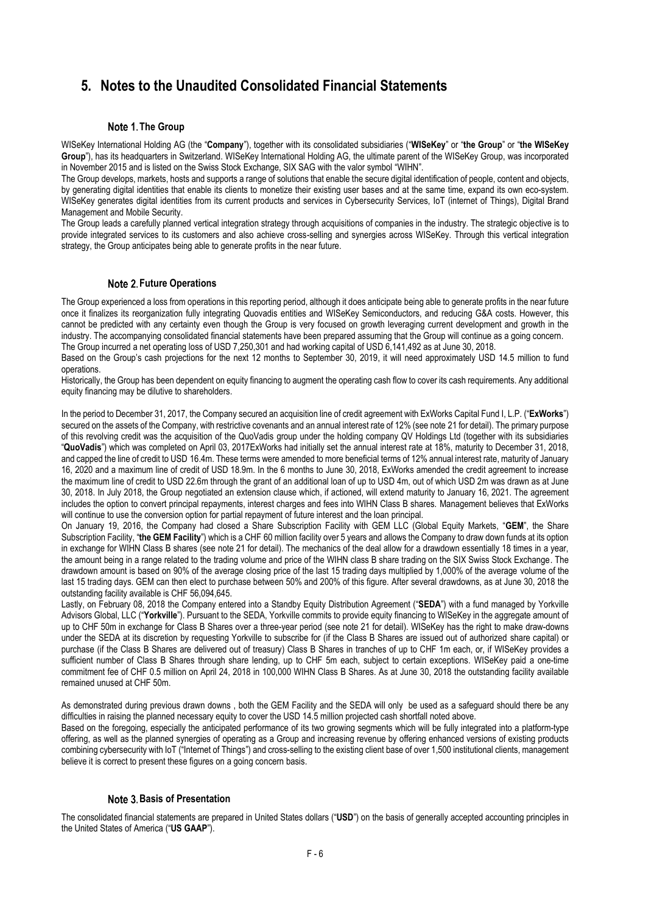# <span id="page-5-0"></span>**5. Notes to the Unaudited Consolidated Financial Statements**

# **Note 1. The Group**

WISeKey International Holding AG (the "**Company**"), together with its consolidated subsidiaries ("**WISeKey**" or "**the Group**" or "**the WISeKey Group**"), has its headquarters in Switzerland. WISeKey International Holding AG, the ultimate parent of the WISeKey Group, was incorporated in November 2015 and is listed on the Swiss Stock Exchange, SIX SAG with the valor symbol "WIHN".

The Group develops, markets, hosts and supports a range of solutions that enable the secure digital identification of people, content and objects, by generating digital identities that enable its clients to monetize their existing user bases and at the same time, expand its own eco-system. WISeKey generates digital identities from its current products and services in Cybersecurity Services, IoT (internet of Things), Digital Brand Management and Mobile Security.

The Group leads a carefully planned vertical integration strategy through acquisitions of companies in the industry. The strategic objective is to provide integrated services to its customers and also achieve cross-selling and synergies across WISeKey. Through this vertical integration strategy, the Group anticipates being able to generate profits in the near future.

# **Note 2. Future Operations**

The Group experienced a loss from operations in this reporting period, although it does anticipate being able to generate profits in the near future once it finalizes its reorganization fully integrating Quovadis entities and WISeKey Semiconductors, and reducing G&A costs. However, this cannot be predicted with any certainty even though the Group is very focused on growth leveraging current development and growth in the industry. The accompanying consolidated financial statements have been prepared assuming that the Group will continue as a going concern. The Group incurred a net operating loss of USD 7,250,301 and had working capital of USD 6,141,492 as at June 30, 2018.

Based on the Group's cash projections for the next 12 months to September 30, 2019, it will need approximately USD 14.5 million to fund operations.

Historically, the Group has been dependent on equity financing to augment the operating cash flow to cover its cash requirements. Any additional equity financing may be dilutive to shareholders.

In the period to December 31, 2017, the Company secured an acquisition line of credit agreement with ExWorks Capital Fund I, L.P. ("**ExWorks**") secured on the assets of the Company, with restrictive covenants and an annual interest rate of 12% (see note 21 for detail). The primary purpose of this revolving credit was the acquisition of the QuoVadis group under the holding company QV Holdings Ltd (together with its subsidiaries "**QuoVadis**") which was completed on April 03, 2017ExWorks had initially set the annual interest rate at 18%, maturity to December 31, 2018, and capped the line of credit to USD 16.4m. These terms were amended to more beneficial terms of 12% annual interest rate, maturity of January 16, 2020 and a maximum line of credit of USD 18.9m. In the 6 months to June 30, 2018, ExWorks amended the credit agreement to increase the maximum line of credit to USD 22.6m through the grant of an additional loan of up to USD 4m, out of which USD 2m was drawn as at June 30, 2018. In July 2018, the Group negotiated an extension clause which, if actioned, will extend maturity to January 16, 2021. The agreement includes the option to convert principal repayments, interest charges and fees into WIHN Class B shares. Management believes that ExWorks will continue to use the conversion option for partial repayment of future interest and the loan principal.

On January 19, 2016, the Company had closed a Share Subscription Facility with GEM LLC (Global Equity Markets, "**GEM**", the Share Subscription Facility, "**the GEM Facility**") which is a CHF 60 million facility over 5 years and allows the Company to draw down funds at its option in exchange for WIHN Class B shares (see note 21 for detail). The mechanics of the deal allow for a drawdown essentially 18 times in a year, the amount being in a range related to the trading volume and price of the WIHN class B share trading on the SIX Swiss Stock Exchange. The drawdown amount is based on 90% of the average closing price of the last 15 trading days multiplied by 1,000% of the average volume of the last 15 trading days. GEM can then elect to purchase between 50% and 200% of this figure. After several drawdowns, as at June 30, 2018 the outstanding facility available is CHF 56,094,645.

Lastly, on February 08, 2018 the Company entered into a Standby Equity Distribution Agreement ("**SEDA**") with a fund managed by Yorkville Advisors Global, LLC ("**Yorkville**"). Pursuant to the SEDA, Yorkville commits to provide equity financing to WISeKey in the aggregate amount of up to CHF 50m in exchange for Class B Shares over a three-year period (see note 21 for detail). WISeKey has the right to make draw-downs under the SEDA at its discretion by requesting Yorkville to subscribe for (if the Class B Shares are issued out of authorized share capital) or purchase (if the Class B Shares are delivered out of treasury) Class B Shares in tranches of up to CHF 1m each, or, if WISeKey provides a sufficient number of Class B Shares through share lending, up to CHF 5m each, subject to certain exceptions. WISeKey paid a one-time commitment fee of CHF 0.5 million on April 24, 2018 in 100,000 WIHN Class B Shares. As at June 30, 2018 the outstanding facility available remained unused at CHF 50m.

As demonstrated during previous drawn downs , both the GEM Facility and the SEDA will only be used as a safeguard should there be any difficulties in raising the planned necessary equity to cover the USD 14.5 million projected cash shortfall noted above.

Based on the foregoing, especially the anticipated performance of its two growing segments which will be fully integrated into a platform-type offering, as well as the planned synergies of operating as a Group and increasing revenue by offering enhanced versions of existing products combining cybersecurity with IoT ("Internet of Things") and cross-selling to the existing client base of over 1,500 institutional clients, management believe it is correct to present these figures on a going concern basis.

# **Basis of Presentation**

The consolidated financial statements are prepared in United States dollars ("**USD**") on the basis of generally accepted accounting principles in the United States of America ("**US GAAP**").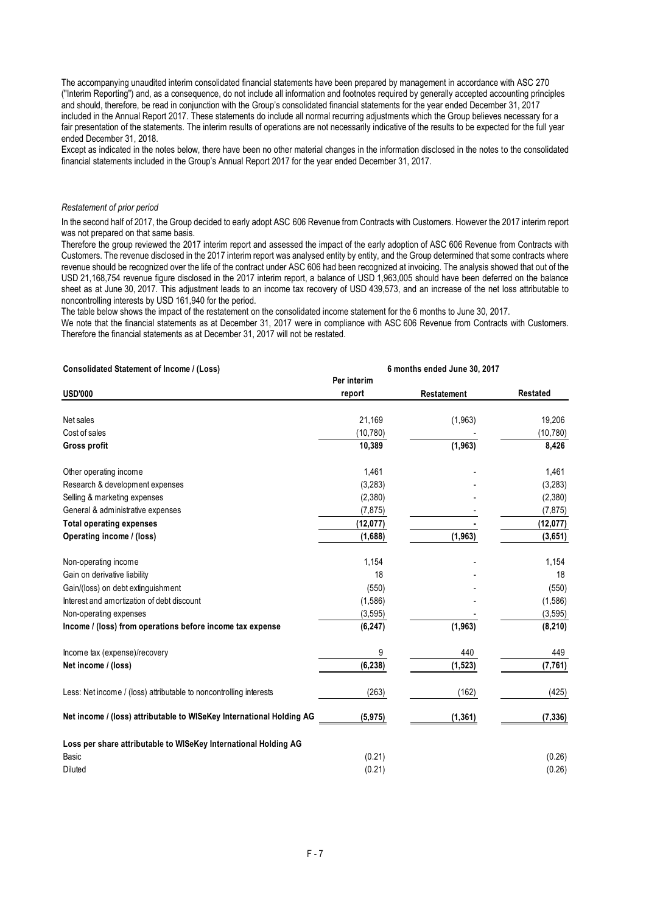The accompanying unaudited interim consolidated financial statements have been prepared by management in accordance with ASC 270 ("Interim Reporting") and, as a consequence, do not include all information and footnotes required by generally accepted accounting principles and should, therefore, be read in conjunction with the Group's consolidated financial statements for the year ended December 31, 2017 included in the Annual Report 2017. These statements do include all normal recurring adjustments which the Group believes necessary for a fair presentation of the statements. The interim results of operations are not necessarily indicative of the results to be expected for the full year ended December 31, 2018.

Except as indicated in the notes below, there have been no other material changes in the information disclosed in the notes to the consolidated financial statements included in the Group's Annual Report 2017 for the year ended December 31, 2017.

## *Restatement of prior period*

In the second half of 2017, the Group decided to early adopt ASC 606 Revenue from Contracts with Customers. However the 2017 interim report was not prepared on that same basis.

Therefore the group reviewed the 2017 interim report and assessed the impact of the early adoption of ASC 606 Revenue from Contracts with Customers. The revenue disclosed in the 2017 interim report was analysed entity by entity, and the Group determined that some contracts where revenue should be recognized over the life of the contract under ASC 606 had been recognized at invoicing. The analysis showed that out of the USD 21,168,754 revenue figure disclosed in the 2017 interim report, a balance of USD 1,963,005 should have been deferred on the balance sheet as at June 30, 2017. This adjustment leads to an income tax recovery of USD 439,573, and an increase of the net loss attributable to noncontrolling interests by USD 161,940 for the period.

The table below shows the impact of the restatement on the consolidated income statement for the 6 months to June 30, 2017.

We note that the financial statements as at December 31, 2017 were in compliance with ASC 606 Revenue from Contracts with Customers. Therefore the financial statements as at December 31, 2017 will not be restated.

| Consolidated Statement of Income / (Loss)                            | 6 months ended June 30, 2017 |                    |                 |  |
|----------------------------------------------------------------------|------------------------------|--------------------|-----------------|--|
|                                                                      | Per interim                  |                    |                 |  |
| <b>USD'000</b>                                                       | report                       | <b>Restatement</b> | <b>Restated</b> |  |
| Net sales                                                            | 21,169                       | (1,963)            | 19,206          |  |
| Cost of sales                                                        | (10, 780)                    |                    | (10, 780)       |  |
| <b>Gross profit</b>                                                  | 10,389                       | (1,963)            | 8,426           |  |
| Other operating income                                               | 1,461                        |                    | 1,461           |  |
| Research & development expenses                                      | (3,283)                      |                    | (3, 283)        |  |
| Selling & marketing expenses                                         | (2,380)                      |                    | (2,380)         |  |
| General & administrative expenses                                    | (7, 875)                     |                    | (7, 875)        |  |
| <b>Total operating expenses</b>                                      | (12,077)                     |                    | (12, 077)       |  |
| Operating income / (loss)                                            | (1,688)                      | (1, 963)           | (3,651)         |  |
| Non-operating income                                                 | 1,154                        |                    | 1,154           |  |
| Gain on derivative liability                                         | 18                           |                    | 18              |  |
| Gain/(loss) on debt extinguishment                                   | (550)                        |                    | (550)           |  |
| Interest and amortization of debt discount                           | (1,586)                      |                    | (1,586)         |  |
| Non-operating expenses                                               | (3, 595)                     |                    | (3, 595)        |  |
| Income / (loss) from operations before income tax expense            | (6, 247)                     | (1, 963)           | (8, 210)        |  |
| Income tax (expense)/recovery                                        | 9                            | 440                | 449             |  |
| Net income / (loss)                                                  | (6, 238)                     | (1, 523)           | (7, 761)        |  |
| Less: Net income / (loss) attributable to noncontrolling interests   | (263)                        | (162)              | (425)           |  |
| Net income / (loss) attributable to WISeKey International Holding AG | (5, 975)                     | (1, 361)           | (7, 336)        |  |
| Loss per share attributable to WISeKey International Holding AG      |                              |                    |                 |  |
| Basic                                                                | (0.21)                       |                    | (0.26)          |  |
| <b>Diluted</b>                                                       | (0.21)                       |                    | (0.26)          |  |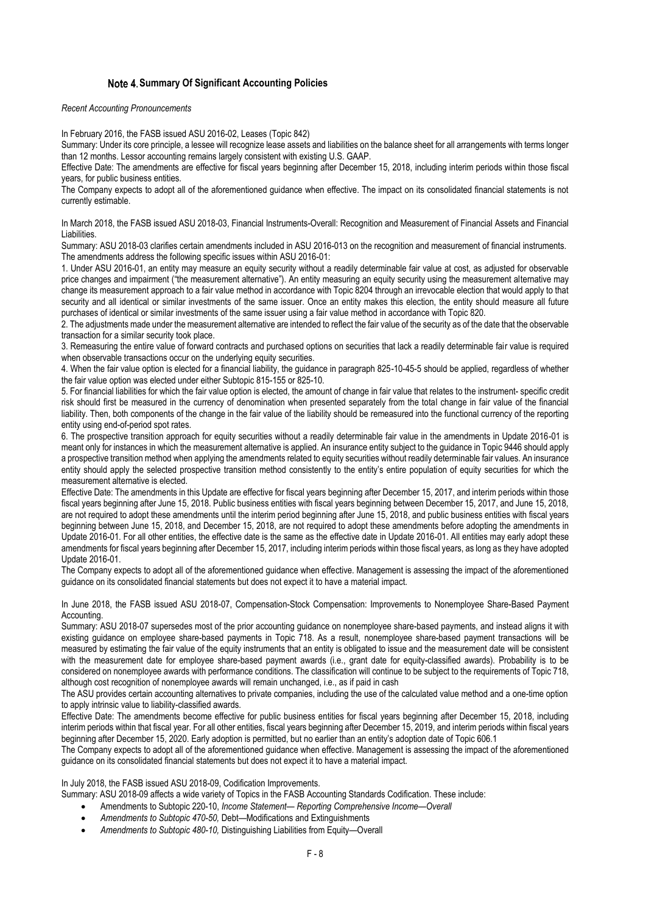# **Summary Of Significant Accounting Policies**

*Recent Accounting Pronouncements*

In February 2016, the FASB issued ASU 2016-02, Leases (Topic 842)

Summary: Under its core principle, a lessee will recognize lease assets and liabilities on the balance sheet for all arrangements with terms longer than 12 months. Lessor accounting remains largely consistent with existing U.S. GAAP.

Effective Date: The amendments are effective for fiscal years beginning after December 15, 2018, including interim periods within those fiscal years, for public business entities.

The Company expects to adopt all of the aforementioned guidance when effective. The impact on its consolidated financial statements is not currently estimable.

In March 2018, the FASB issued ASU 2018-03, Financial Instruments-Overall: Recognition and Measurement of Financial Assets and Financial Liabilities.

Summary: ASU 2018-03 clarifies certain amendments included in ASU 2016-013 on the recognition and measurement of financial instruments. The amendments address the following specific issues within ASU 2016-01:

1. Under ASU 2016-01, an entity may measure an equity security without a readily determinable fair value at cost, as adjusted for observable price changes and impairment ("the measurement alternative"). An entity measuring an equity security using the measurement alternative may change its measurement approach to a fair value method in accordance with Topic 8204 through an irrevocable election that would apply to that security and all identical or similar investments of the same issuer. Once an entity makes this election, the entity should measure all future purchases of identical or similar investments of the same issuer using a fair value method in accordance with Topic 820.

2. The adjustments made under the measurement alternative are intended to reflect the fair value of the security as of the date that the observable transaction for a similar security took place.

3. Remeasuring the entire value of forward contracts and purchased options on securities that lack a readily determinable fair value is required when observable transactions occur on the underlying equity securities.

4. When the fair value option is elected for a financial liability, the guidance in paragraph 825-10-45-5 should be applied, regardless of whether the fair value option was elected under either Subtopic 815-155 or 825-10.

5. For financial liabilities for which the fair value option is elected, the amount of change in fair value that relates to the instrument- specific credit risk should first be measured in the currency of denomination when presented separately from the total change in fair value of the financial liability. Then, both components of the change in the fair value of the liability should be remeasured into the functional currency of the reporting entity using end-of-period spot rates.

6. The prospective transition approach for equity securities without a readily determinable fair value in the amendments in Update 2016-01 is meant only for instances in which the measurement alternative is applied. An insurance entity subject to the guidance in Topic 9446 should apply a prospective transition method when applying the amendments related to equity securities without readily determinable fair values. An insurance entity should apply the selected prospective transition method consistently to the entity's entire population of equity securities for which the measurement alternative is elected.

Effective Date: The amendments in this Update are effective for fiscal years beginning after December 15, 2017, and interim periods within those fiscal years beginning after June 15, 2018. Public business entities with fiscal years beginning between December 15, 2017, and June 15, 2018, are not required to adopt these amendments until the interim period beginning after June 15, 2018, and public business entities with fiscal years beginning between June 15, 2018, and December 15, 2018, are not required to adopt these amendments before adopting the amendments in Update 2016-01. For all other entities, the effective date is the same as the effective date in Update 2016-01. All entities may early adopt these amendments for fiscal years beginning after December 15, 2017, including interim periods within those fiscal years, as long as they have adopted Update 2016-01.

The Company expects to adopt all of the aforementioned guidance when effective. Management is assessing the impact of the aforementioned guidance on its consolidated financial statements but does not expect it to have a material impact.

In June 2018, the FASB issued ASU 2018-07, Compensation-Stock Compensation: Improvements to Nonemployee Share-Based Payment Accounting.

Summary: ASU 2018-07 supersedes most of the prior accounting guidance on nonemployee share-based payments, and instead aligns it with existing guidance on employee share-based payments in Topic 718. As a result, nonemployee share-based payment transactions will be measured by estimating the fair value of the equity instruments that an entity is obligated to issue and the measurement date will be consistent with the measurement date for employee share-based payment awards (i.e., grant date for equity-classified awards). Probability is to be considered on nonemployee awards with performance conditions. The classification will continue to be subject to the requirements of Topic 718, although cost recognition of nonemployee awards will remain unchanged, i.e., as if paid in cash

The ASU provides certain accounting alternatives to private companies, including the use of the calculated value method and a one-time option to apply intrinsic value to liability-classified awards.

Effective Date: The amendments become effective for public business entities for fiscal years beginning after December 15, 2018, including interim periods within that fiscal year. For all other entities, fiscal years beginning after December 15, 2019, and interim periods within fiscal years beginning after December 15, 2020. Early adoption is permitted, but no earlier than an entity's adoption date of Topic 606.1

The Company expects to adopt all of the aforementioned guidance when effective. Management is assessing the impact of the aforementioned guidance on its consolidated financial statements but does not expect it to have a material impact.

In July 2018, the FASB issued ASU 2018-09, Codification Improvements.

- Summary: ASU 2018-09 affects a wide variety of Topics in the FASB Accounting Standards Codification. These include:
	- Amendments to Subtopic 220-10, *Income Statement— Reporting Comprehensive Income—Overall*
	- *Amendments to Subtopic 470-50,* Debt—Modifications and Extinguishments
	- *Amendments to Subtopic 480-10,* Distinguishing Liabilities from Equity—Overall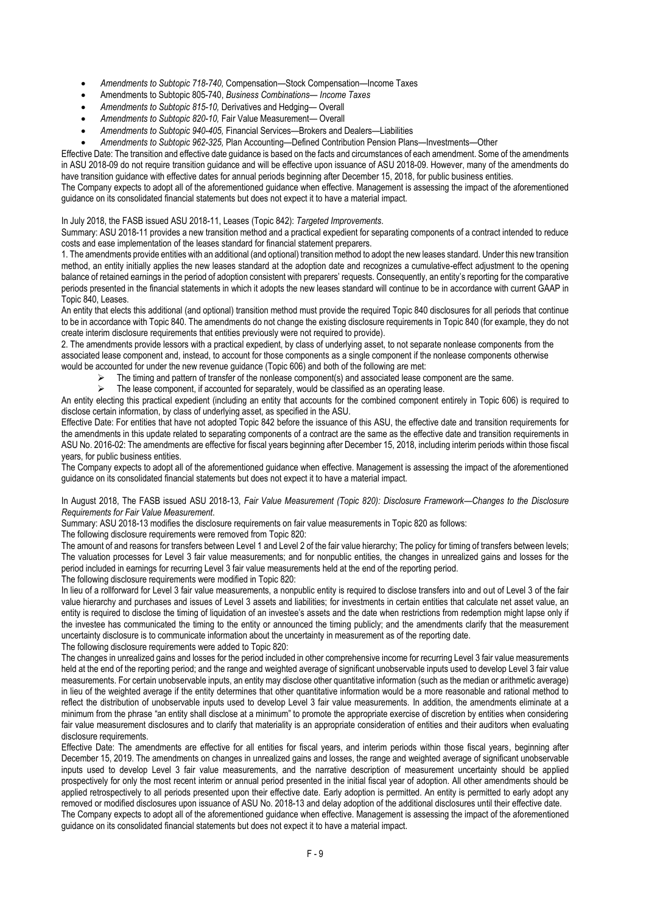- *Amendments to Subtopic 718-740,* Compensation—Stock Compensation—Income Taxes
- Amendments to Subtopic 805-740, *Business Combinations— Income Taxes*
- *Amendments to Subtopic 815-10,* Derivatives and Hedging— Overall
- *Amendments to Subtopic 820-10,* Fair Value Measurement— Overall
- *Amendments to Subtopic 940-405,* Financial Services—Brokers and Dealers—Liabilities

*Amendments to Subtopic 962-325,* Plan Accounting—Defined Contribution Pension Plans—Investments—Other

Effective Date: The transition and effective date guidance is based on the facts and circumstances of each amendment. Some of the amendments in ASU 2018-09 do not require transition guidance and will be effective upon issuance of ASU 2018-09. However, many of the amendments do have transition guidance with effective dates for annual periods beginning after December 15, 2018, for public business entities.

The Company expects to adopt all of the aforementioned guidance when effective. Management is assessing the impact of the aforementioned guidance on its consolidated financial statements but does not expect it to have a material impact.

# In July 2018, the FASB issued ASU 2018-11, Leases (Topic 842): *Targeted Improvements*.

Summary: ASU 2018-11 provides a new transition method and a practical expedient for separating components of a contract intended to reduce costs and ease implementation of the leases standard for financial statement preparers.

1. The amendments provide entities with an additional (and optional) transition method to adopt the new leases standard. Under this new transition method, an entity initially applies the new leases standard at the adoption date and recognizes a cumulative-effect adjustment to the opening balance of retained earnings in the period of adoption consistent with preparers' requests. Consequently, an entity's reporting for the comparative periods presented in the financial statements in which it adopts the new leases standard will continue to be in accordance with current GAAP in Topic 840, Leases.

An entity that elects this additional (and optional) transition method must provide the required Topic 840 disclosures for all periods that continue to be in accordance with Topic 840. The amendments do not change the existing disclosure requirements in Topic 840 (for example, they do not create interim disclosure requirements that entities previously were not required to provide).

2. The amendments provide lessors with a practical expedient, by class of underlying asset, to not separate nonlease components from the associated lease component and, instead, to account for those components as a single component if the nonlease components otherwise would be accounted for under the new revenue guidance (Topic 606) and both of the following are met:

- The timing and pattern of transfer of the nonlease component(s) and associated lease component are the same.
	- The lease component, if accounted for separately, would be classified as an operating lease.

An entity electing this practical expedient (including an entity that accounts for the combined component entirely in Topic 606) is required to disclose certain information, by class of underlying asset, as specified in the ASU.

Effective Date: For entities that have not adopted Topic 842 before the issuance of this ASU, the effective date and transition requirements for the amendments in this update related to separating components of a contract are the same as the effective date and transition requirements in ASU No. 2016-02: The amendments are effective for fiscal years beginning after December 15, 2018, including interim periods within those fiscal years, for public business entities.

The Company expects to adopt all of the aforementioned guidance when effective. Management is assessing the impact of the aforementioned guidance on its consolidated financial statements but does not expect it to have a material impact.

In August 2018, The FASB issued ASU 2018-13, *Fair Value Measurement (Topic 820): Disclosure Framework—Changes to the Disclosure Requirements for Fair Value Measurement*.

Summary: ASU 2018-13 modifies the disclosure requirements on fair value measurements in Topic 820 as follows:

The following disclosure requirements were removed from Topic 820:

The amount of and reasons for transfers between Level 1 and Level 2 of the fair value hierarchy; The policy for timing of transfers between levels; The valuation processes for Level 3 fair value measurements; and for nonpublic entities, the changes in unrealized gains and losses for the period included in earnings for recurring Level 3 fair value measurements held at the end of the reporting period.

The following disclosure requirements were modified in Topic 820:

In lieu of a rollforward for Level 3 fair value measurements, a nonpublic entity is required to disclose transfers into and out of Level 3 of the fair value hierarchy and purchases and issues of Level 3 assets and liabilities; for investments in certain entities that calculate net asset value, an entity is required to disclose the timing of liquidation of an investee's assets and the date when restrictions from redemption might lapse only if the investee has communicated the timing to the entity or announced the timing publicly; and the amendments clarify that the measurement uncertainty disclosure is to communicate information about the uncertainty in measurement as of the reporting date. The following disclosure requirements were added to Topic 820:

The changes in unrealized gains and losses for the period included in other comprehensive income for recurring Level 3 fair value measurements held at the end of the reporting period; and the range and weighted average of significant unobservable inputs used to develop Level 3 fair value measurements. For certain unobservable inputs, an entity may disclose other quantitative information (such as the median or arithmetic average) in lieu of the weighted average if the entity determines that other quantitative information would be a more reasonable and rational method to reflect the distribution of unobservable inputs used to develop Level 3 fair value measurements. In addition, the amendments eliminate at a minimum from the phrase "an entity shall disclose at a minimum" to promote the appropriate exercise of discretion by entities when considering fair value measurement disclosures and to clarify that materiality is an appropriate consideration of entities and their auditors when evaluating disclosure requirements.

Effective Date: The amendments are effective for all entities for fiscal years, and interim periods within those fiscal years, beginning after December 15, 2019. The amendments on changes in unrealized gains and losses, the range and weighted average of significant unobservable inputs used to develop Level 3 fair value measurements, and the narrative description of measurement uncertainty should be applied prospectively for only the most recent interim or annual period presented in the initial fiscal year of adoption. All other amendments should be applied retrospectively to all periods presented upon their effective date. Early adoption is permitted. An entity is permitted to early adopt any removed or modified disclosures upon issuance of ASU No. 2018-13 and delay adoption of the additional disclosures until their effective date.

The Company expects to adopt all of the aforementioned guidance when effective. Management is assessing the impact of the aforementioned guidance on its consolidated financial statements but does not expect it to have a material impact.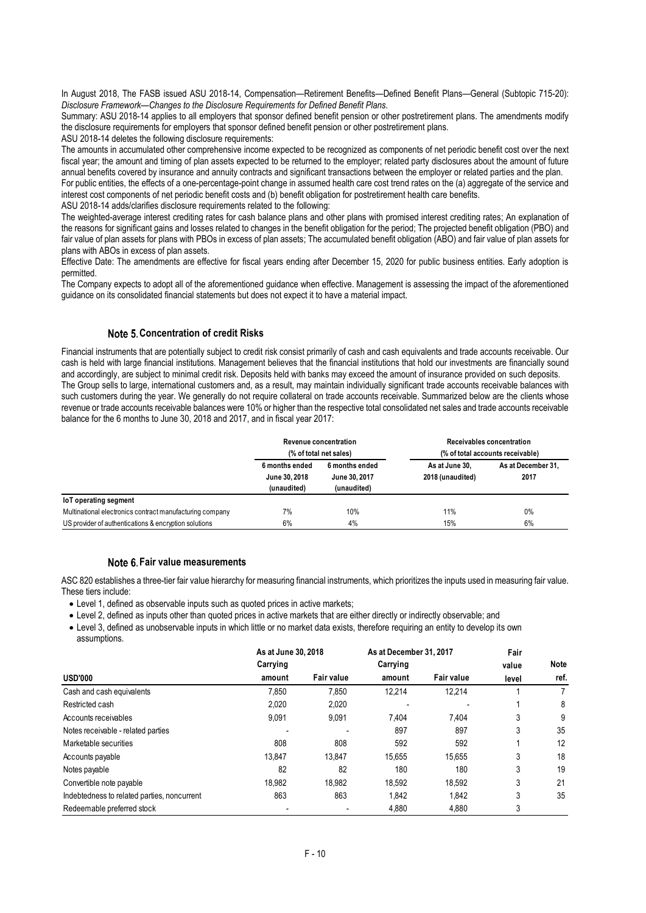In August 2018, The FASB issued ASU 2018-14, Compensation—Retirement Benefits—Defined Benefit Plans—General (Subtopic 715-20): *Disclosure Framework—Changes to the Disclosure Requirements for Defined Benefit Plans.*

Summary: ASU 2018-14 applies to all employers that sponsor defined benefit pension or other postretirement plans. The amendments modify the disclosure requirements for employers that sponsor defined benefit pension or other postretirement plans.

ASU 2018-14 deletes the following disclosure requirements:

The amounts in accumulated other comprehensive income expected to be recognized as components of net periodic benefit cost over the next fiscal year; the amount and timing of plan assets expected to be returned to the employer; related party disclosures about the amount of future annual benefits covered by insurance and annuity contracts and significant transactions between the employer or related parties and the plan. For public entities, the effects of a one-percentage-point change in assumed health care cost trend rates on the (a) aggregate of the service and

interest cost components of net periodic benefit costs and (b) benefit obligation for postretirement health care benefits.

ASU 2018-14 adds/clarifies disclosure requirements related to the following:

The weighted-average interest crediting rates for cash balance plans and other plans with promised interest crediting rates; An explanation of the reasons for significant gains and losses related to changes in the benefit obligation for the period; The projected benefit obligation (PBO) and fair value of plan assets for plans with PBOs in excess of plan assets; The accumulated benefit obligation (ABO) and fair value of plan assets for plans with ABOs in excess of plan assets.

Effective Date: The amendments are effective for fiscal years ending after December 15, 2020 for public business entities. Early adoption is permitted.

The Company expects to adopt all of the aforementioned guidance when effective. Management is assessing the impact of the aforementioned guidance on its consolidated financial statements but does not expect it to have a material impact.

# **Note 5. Concentration of credit Risks**

Financial instruments that are potentially subject to credit risk consist primarily of cash and cash equivalents and trade accounts receivable. Our cash is held with large financial institutions. Management believes that the financial institutions that hold our investments are financially sound and accordingly, are subject to minimal credit risk. Deposits held with banks may exceed the amount of insurance provided on such deposits. The Group sells to large, international customers and, as a result, may maintain individually significant trade accounts receivable balances with such customers during the year. We generally do not require collateral on trade accounts receivable. Summarized below are the clients whose revenue or trade accounts receivable balances were 10% or higher than the respective total consolidated net sales and trade accounts receivable balance for the 6 months to June 30, 2018 and 2017, and in fiscal year 2017:

|                                                          |                                                | Revenue concentration<br>(% of total net sales) |                                    | Receivables concentration<br>(% of total accounts receivable) |
|----------------------------------------------------------|------------------------------------------------|-------------------------------------------------|------------------------------------|---------------------------------------------------------------|
|                                                          | 6 months ended<br>June 30, 2018<br>(unaudited) | 6 months ended<br>June 30, 2017<br>(unaudited)  | As at June 30.<br>2018 (unaudited) | As at December 31.<br>2017                                    |
| loT operating segment                                    |                                                |                                                 |                                    |                                                               |
| Multinational electronics contract manufacturing company | 7%                                             | 10%                                             | 11%                                | 0%                                                            |
| US provider of authentications & encryption solutions    | 6%                                             | 4%                                              | 15%                                | 6%                                                            |

# **Fair value measurements**

ASC 820 establishes a three-tier fair value hierarchy for measuring financial instruments, which prioritizes the inputs used in measuring fair value. These tiers include:

- Level 1, defined as observable inputs such as quoted prices in active markets;
- Level 2, defined as inputs other than quoted prices in active markets that are either directly or indirectly observable; and
- Level 3, defined as unobservable inputs in which little or no market data exists, therefore requiring an entity to develop its own assumptions.

|                                             | As at June 30, 2018 |                   | As at December 31, 2017 |            | Fair  |             |
|---------------------------------------------|---------------------|-------------------|-------------------------|------------|-------|-------------|
|                                             | Carrying            |                   | Carrying                |            | value | <b>Note</b> |
| <b>USD'000</b>                              | amount              | <b>Fair value</b> | amount                  | Fair value | level | ref.        |
| Cash and cash equivalents                   | 7.850               | 7.850             | 12.214                  | 12.214     |       |             |
| Restricted cash                             | 2.020               | 2,020             |                         |            |       | 8           |
| Accounts receivables                        | 9,091               | 9,091             | 7.404                   | 7.404      | 3     | 9           |
| Notes receivable - related parties          |                     |                   | 897                     | 897        | 3     | 35          |
| Marketable securities                       | 808                 | 808               | 592                     | 592        |       | 12          |
| Accounts payable                            | 13.847              | 13.847            | 15,655                  | 15.655     | 3     | 18          |
| Notes payable                               | 82                  | 82                | 180                     | 180        | 3     | 19          |
| Convertible note payable                    | 18.982              | 18.982            | 18.592                  | 18.592     | 3     | 21          |
| Indebtedness to related parties, noncurrent | 863                 | 863               | 1,842                   | 1,842      | 3     | 35          |
| Redeemable preferred stock                  |                     |                   | 4,880                   | 4,880      | 3     |             |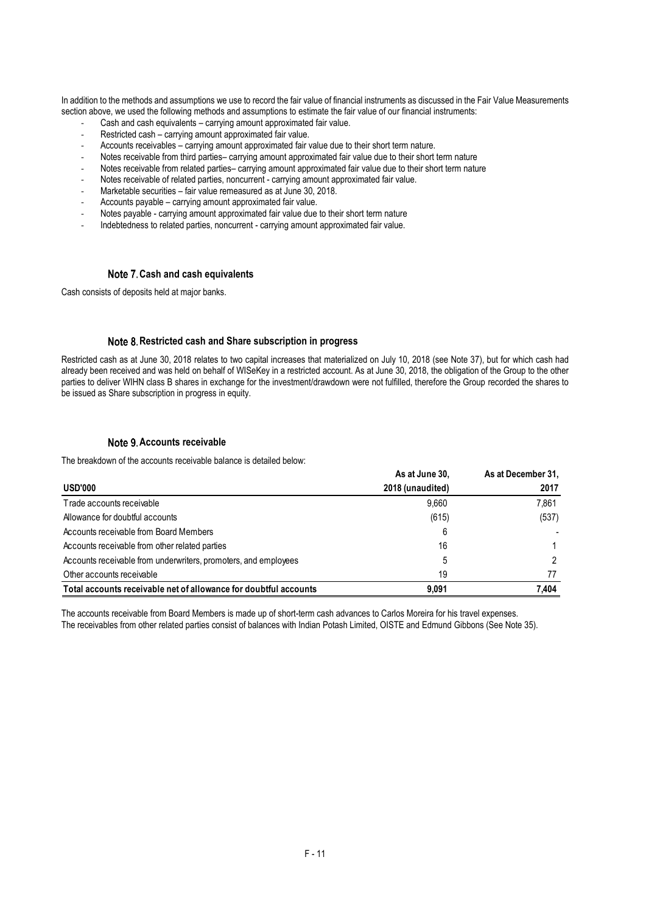In addition to the methods and assumptions we use to record the fair value of financial instruments as discussed in the Fair Value Measurements section above, we used the following methods and assumptions to estimate the fair value of our financial instruments:

- Cash and cash equivalents carrying amount approximated fair value.
- Restricted cash carrying amount approximated fair value.
- Accounts receivables carrying amount approximated fair value due to their short term nature.
- Notes receivable from third parties– carrying amount approximated fair value due to their short term nature
- Notes receivable from related parties– carrying amount approximated fair value due to their short term nature
- Notes receivable of related parties, noncurrent carrying amount approximated fair value.
- Marketable securities fair value remeasured as at June 30, 2018.
- Accounts payable carrying amount approximated fair value.
- Notes payable carrying amount approximated fair value due to their short term nature
- Indebtedness to related parties, noncurrent carrying amount approximated fair value.

## **Cash and cash equivalents**

Cash consists of deposits held at major banks.

## **Restricted cash and Share subscription in progress**

Restricted cash as at June 30, 2018 relates to two capital increases that materialized on July 10, 2018 (see Note 37), but for which cash had already been received and was held on behalf of WISeKey in a restricted account. As at June 30, 2018, the obligation of the Group to the other parties to deliver WIHN class B shares in exchange for the investment/drawdown were not fulfilled, therefore the Group recorded the shares to be issued as Share subscription in progress in equity.

## **Accounts receivable**

The breakdown of the accounts receivable balance is detailed below:

|                                                                  | As at June 30,   | As at December 31, |
|------------------------------------------------------------------|------------------|--------------------|
| USD'000                                                          | 2018 (unaudited) | 2017               |
| Trade accounts receivable                                        | 9.660            | 7.861              |
| Allowance for doubtful accounts                                  | (615)            | (537)              |
| Accounts receivable from Board Members                           | 6                |                    |
| Accounts receivable from other related parties                   | 16               |                    |
| Accounts receivable from underwriters, promoters, and employees  | 5                |                    |
| Other accounts receivable                                        | 19               |                    |
| Total accounts receivable net of allowance for doubtful accounts | 9.091            | 7,404              |

The accounts receivable from Board Members is made up of short-term cash advances to Carlos Moreira for his travel expenses. The receivables from other related parties consist of balances with Indian Potash Limited, OISTE and Edmund Gibbons (See Note 35).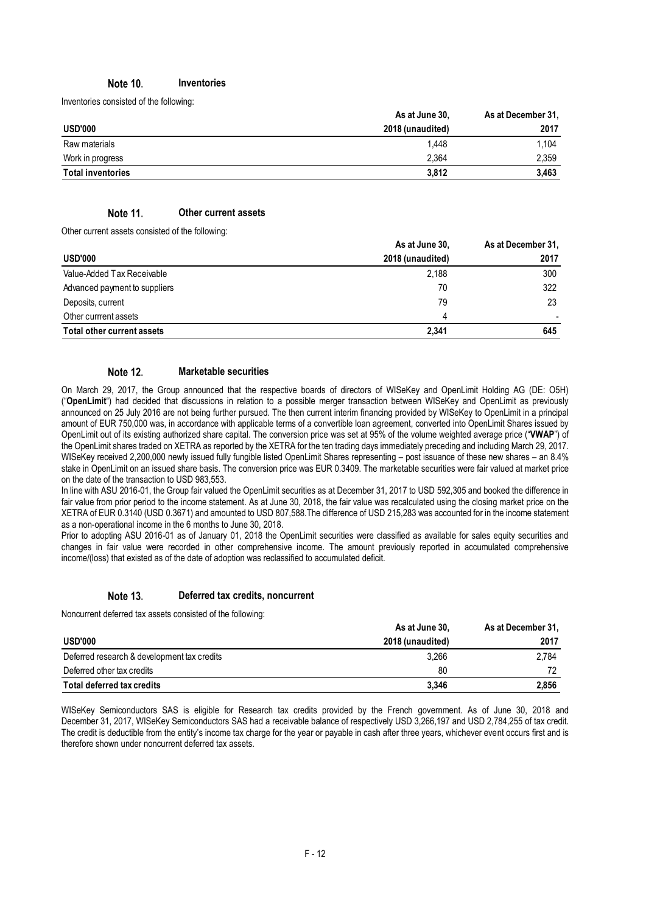#### Note 10. **Inventories**

Inventories consisted of the following:

|                          | As at June 30,   | As at December 31, |
|--------------------------|------------------|--------------------|
| <b>USD'000</b>           | 2018 (unaudited) | 2017               |
| Raw materials            | 1.448            | 1.104              |
| Work in progress         | 2.364            | 2.359              |
| <b>Total inventories</b> | 3.812            | 3.463              |

#### Note 11. **Other current assets**

Other current assets consisted of the following:

|                               | As at June 30,   | As at December 31, |
|-------------------------------|------------------|--------------------|
| <b>USD'000</b>                | 2018 (unaudited) | 2017               |
| Value-Added Tax Receivable    | 2,188            | 300                |
| Advanced payment to suppliers | 70               | 322                |
| Deposits, current             | 79               | 23                 |
| Other currrent assets         | Δ                |                    |
| Total other current assets    | 2,341            | 645                |

#### Note 12. **Marketable securities**

On March 29, 2017, the Group announced that the respective boards of directors of WISeKey and OpenLimit Holding AG (DE: O5H) ("**OpenLimit**") had decided that discussions in relation to a possible merger transaction between WISeKey and OpenLimit as previously announced on 25 July 2016 are not being further pursued. The then current interim financing provided by WISeKey to OpenLimit in a principal amount of EUR 750,000 was, in accordance with applicable terms of a convertible loan agreement, converted into OpenLimit Shares issued by OpenLimit out of its existing authorized share capital. The conversion price was set at 95% of the volume weighted average price ("**VWAP**") of the OpenLimit shares traded on XETRA as reported by the XETRA for the ten trading days immediately preceding and including March 29, 2017. WISeKey received 2,200,000 newly issued fully fungible listed OpenLimit Shares representing – post issuance of these new shares – an 8.4% stake in OpenLimit on an issued share basis. The conversion price was EUR 0.3409. The marketable securities were fair valued at market price on the date of the transaction to USD 983,553.

In line with ASU 2016-01, the Group fair valued the OpenLimit securities as at December 31, 2017 to USD 592,305 and booked the difference in fair value from prior period to the income statement. As at June 30, 2018, the fair value was recalculated using the closing market price on the XETRA of EUR 0.3140 (USD 0.3671) and amounted to USD 807,588.The difference of USD 215,283 was accounted for in the income statement as a non-operational income in the 6 months to June 30, 2018.

Prior to adopting ASU 2016-01 as of January 01, 2018 the OpenLimit securities were classified as available for sales equity securities and changes in fair value were recorded in other comprehensive income. The amount previously reported in accumulated comprehensive income/(loss) that existed as of the date of adoption was reclassified to accumulated deficit.

#### Note 13. **Deferred tax credits, noncurrent**

Noncurrent deferred tax assets consisted of the following:

|                                             | As at June 30,   | As at December 31, |
|---------------------------------------------|------------------|--------------------|
| USD'000                                     | 2018 (unaudited) | 2017               |
| Deferred research & development tax credits | 3.266            | 2.784              |
| Deferred other tax credits                  | 80               |                    |
| Total deferred tax credits                  | 3.346            | 2,856              |

WISeKey Semiconductors SAS is eligible for Research tax credits provided by the French government. As of June 30, 2018 and December 31, 2017, WISeKey Semiconductors SAS had a receivable balance of respectively USD 3,266,197 and USD 2,784,255 of tax credit. The credit is deductible from the entity's income tax charge for the year or payable in cash after three years, whichever event occurs first and is therefore shown under noncurrent deferred tax assets.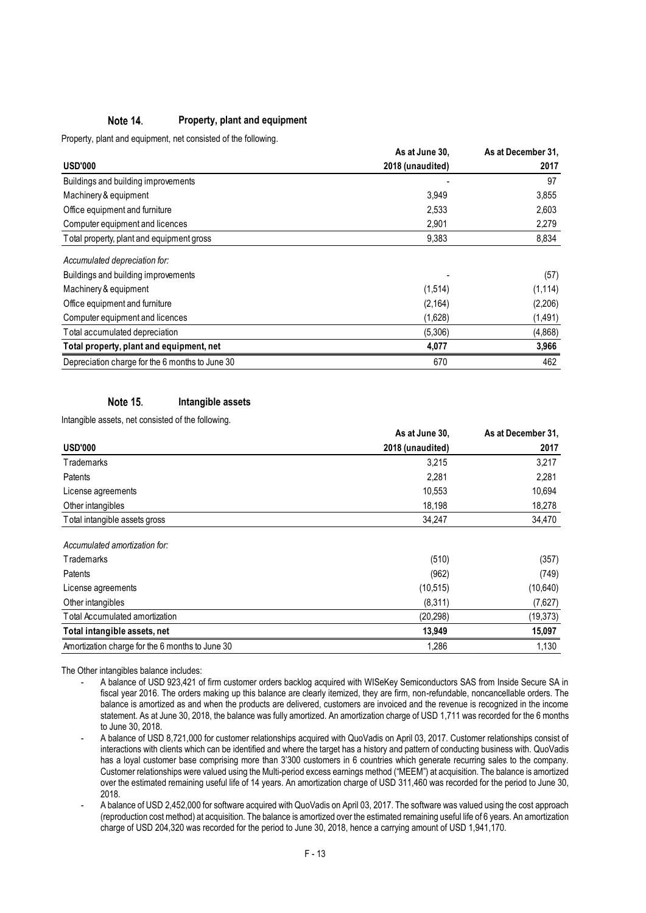#### Note 14. **Property, plant and equipment**

Property, plant and equipment, net consisted of the following.

|                                                 | As at June 30,   | As at December 31, |
|-------------------------------------------------|------------------|--------------------|
| <b>USD'000</b>                                  | 2018 (unaudited) | 2017               |
| Buildings and building improvements             |                  | 97                 |
| Machinery & equipment                           | 3,949            | 3,855              |
| Office equipment and furniture                  | 2,533            | 2,603              |
| Computer equipment and licences                 | 2,901            | 2,279              |
| Total property, plant and equipment gross       | 9,383            | 8,834              |
| Accumulated depreciation for:                   |                  |                    |
| Buildings and building improvements             |                  | (57)               |
| Machinery & equipment                           | (1,514)          | (1, 114)           |
| Office equipment and furniture                  | (2, 164)         | (2,206)            |
| Computer equipment and licences                 | (1,628)          | (1,491)            |
| Total accumulated depreciation                  | (5,306)          | (4,868)            |
| Total property, plant and equipment, net        | 4,077            | 3,966              |
| Depreciation charge for the 6 months to June 30 | 670              | 462                |

#### Note 15. **Intangible assets**

Intangible assets, net consisted of the following.

|                                                 | As at June 30,   | As at December 31, |
|-------------------------------------------------|------------------|--------------------|
| <b>USD'000</b>                                  | 2018 (unaudited) | 2017               |
| Trademarks                                      | 3,215            | 3,217              |
| Patents                                         | 2,281            | 2,281              |
| License agreements                              | 10,553           | 10,694             |
| Other intangibles                               | 18,198           | 18,278             |
| Total intangible assets gross                   | 34,247           | 34,470             |
| Accumulated amortization for:                   |                  |                    |
| Trademarks                                      | (510)            | (357)              |
| Patents                                         | (962)            | (749)              |
| License agreements                              | (10,515)         | (10,640)           |
| Other intangibles                               | (8,311)          | (7,627)            |
| Total Accumulated amortization                  | (20, 298)        | (19, 373)          |
| Total intangible assets, net                    | 13,949           | 15,097             |
| Amortization charge for the 6 months to June 30 | 1,286            | 1,130              |

The Other intangibles balance includes:

- A balance of USD 923,421 of firm customer orders backlog acquired with WISeKey Semiconductors SAS from Inside Secure SA in fiscal year 2016. The orders making up this balance are clearly itemized, they are firm, non-refundable, noncancellable orders. The balance is amortized as and when the products are delivered, customers are invoiced and the revenue is recognized in the income statement. As at June 30, 2018, the balance was fully amortized. An amortization charge of USD 1,711 was recorded for the 6 months to June 30, 2018.
- A balance of USD 8,721,000 for customer relationships acquired with QuoVadis on April 03, 2017. Customer relationships consist of interactions with clients which can be identified and where the target has a history and pattern of conducting business with. QuoVadis has a loyal customer base comprising more than 3'300 customers in 6 countries which generate recurring sales to the company. Customer relationships were valued using the Multi-period excess earnings method ("MEEM") at acquisition. The balance is amortized over the estimated remaining useful life of 14 years. An amortization charge of USD 311,460 was recorded for the period to June 30, 2018.
- A balance of USD 2,452,000 for software acquired with QuoVadis on April 03, 2017. The software was valued using the cost approach (reproduction cost method) at acquisition. The balance is amortized over the estimated remaining useful life of 6 years. An amortization charge of USD 204,320 was recorded for the period to June 30, 2018, hence a carrying amount of USD 1,941,170.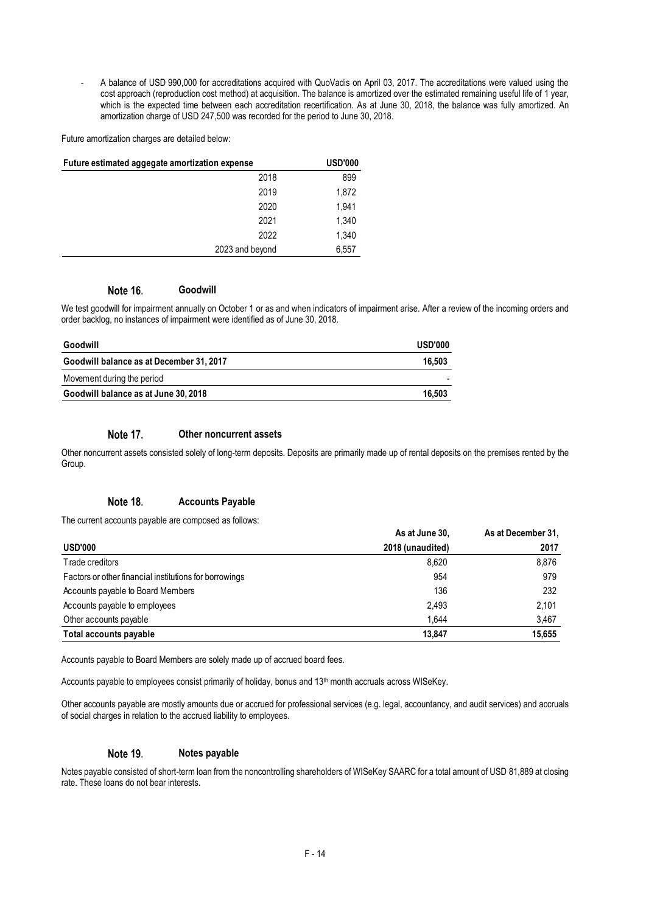- A balance of USD 990,000 for accreditations acquired with QuoVadis on April 03, 2017. The accreditations were valued using the cost approach (reproduction cost method) at acquisition. The balance is amortized over the estimated remaining useful life of 1 year, which is the expected time between each accreditation recertification. As at June 30, 2018, the balance was fully amortized. An amortization charge of USD 247,500 was recorded for the period to June 30, 2018.

Future amortization charges are detailed below:

| Future estimated aggegate amortization expense | <b>USD'000</b> |
|------------------------------------------------|----------------|
| 2018                                           | 899            |
| 2019                                           | 1,872          |
| 2020                                           | 1.941          |
| 2021                                           | 1,340          |
| 2022                                           | 1,340          |
| 2023 and beyond                                | 6,557          |

#### Note 16. **Goodwill**

We test goodwill for impairment annually on October 1 or as and when indicators of impairment arise. After a review of the incoming orders and order backlog, no instances of impairment were identified as of June 30, 2018.

| Goodwill                                 | <b>USD'000</b> |
|------------------------------------------|----------------|
| Goodwill balance as at December 31, 2017 | 16.503         |
| Movement during the period               |                |
| Goodwill balance as at June 30, 2018     | 16.503         |

#### Note 17. **Other noncurrent assets**

Other noncurrent assets consisted solely of long-term deposits. Deposits are primarily made up of rental deposits on the premises rented by the Group.

#### Note 18. **Accounts Payable**

The current accounts payable are composed as follows:

|                                                        | As at June 30,   | As at December 31, |
|--------------------------------------------------------|------------------|--------------------|
| <b>USD'000</b>                                         | 2018 (unaudited) | 2017               |
| Trade creditors                                        | 8.620            | 8,876              |
| Factors or other financial institutions for borrowings | 954              | 979                |
| Accounts payable to Board Members                      | 136              | 232                |
| Accounts payable to employees                          | 2,493            | 2.101              |
| Other accounts payable                                 | 1.644            | 3,467              |
| Total accounts payable                                 | 13.847           | 15,655             |

Accounts payable to Board Members are solely made up of accrued board fees.

Accounts payable to employees consist primarily of holiday, bonus and 13<sup>th</sup> month accruals across WISeKey.

Other accounts payable are mostly amounts due or accrued for professional services (e.g. legal, accountancy, and audit services) and accruals of social charges in relation to the accrued liability to employees.

#### Note 19. **Notes payable**

Notes payable consisted of short-term loan from the noncontrolling shareholders of WISeKey SAARC for a total amount of USD 81,889 at closing rate. These loans do not bear interests.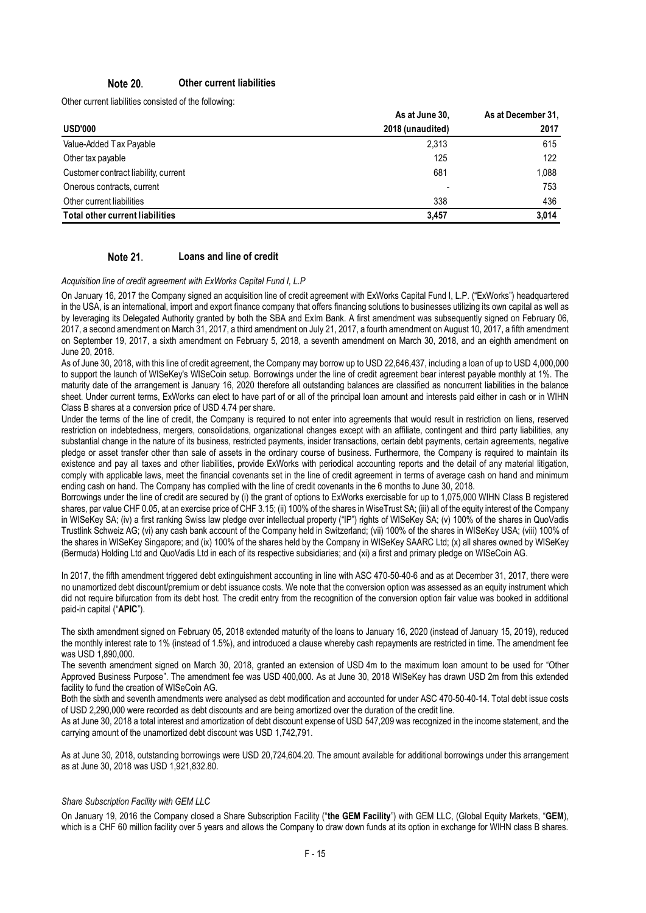#### Note 20. **Other current liabilities**

Other current liabilities consisted of the following:

|                                        | As at June 30,   | As at December 31, |
|----------------------------------------|------------------|--------------------|
| <b>USD'000</b>                         | 2018 (unaudited) | 2017               |
| Value-Added Tax Payable                | 2,313            | 615                |
| Other tax payable                      | 125              | 122                |
| Customer contract liability, current   | 681              | 1.088              |
| Onerous contracts, current             |                  | 753                |
| Other current liabilities              | 338              | 436                |
| <b>Total other current liabilities</b> | 3.457            | 3,014              |

#### **Note 21. Loans and line of credit**

*Acquisition line of credit agreement with ExWorks Capital Fund I, L.P*

On January 16, 2017 the Company signed an acquisition line of credit agreement with ExWorks Capital Fund I, L.P. ("ExWorks") headquartered in the USA, is an international, import and export finance company that offers financing solutions to businesses utilizing its own capital as well as by leveraging its Delegated Authority granted by both the SBA and ExIm Bank. A first amendment was subsequently signed on February 06, 2017, a second amendment on March 31, 2017, a third amendment on July 21, 2017, a fourth amendment on August 10, 2017, a fifth amendment on September 19, 2017, a sixth amendment on February 5, 2018, a seventh amendment on March 30, 2018, and an eighth amendment on June 20, 2018.

As of June 30, 2018, with this line of credit agreement, the Company may borrow up to USD 22,646,437, including a loan of up to USD 4,000,000 to support the launch of WISeKey's WISeCoin setup. Borrowings under the line of credit agreement bear interest payable monthly at 1%. The maturity date of the arrangement is January 16, 2020 therefore all outstanding balances are classified as noncurrent liabilities in the balance sheet. Under current terms, ExWorks can elect to have part of or all of the principal loan amount and interests paid either in cash or in WIHN Class B shares at a conversion price of USD 4.74 per share.

Under the terms of the line of credit, the Company is required to not enter into agreements that would result in restriction on liens, reserved restriction on indebtedness, mergers, consolidations, organizational changes except with an affiliate, contingent and third party liabilities, any substantial change in the nature of its business, restricted payments, insider transactions, certain debt payments, certain agreements, negative pledge or asset transfer other than sale of assets in the ordinary course of business. Furthermore, the Company is required to maintain its existence and pay all taxes and other liabilities, provide ExWorks with periodical accounting reports and the detail of any material litigation, comply with applicable laws, meet the financial covenants set in the line of credit agreement in terms of average cash on hand and minimum ending cash on hand. The Company has complied with the line of credit covenants in the 6 months to June 30, 2018.

Borrowings under the line of credit are secured by (i) the grant of options to ExWorks exercisable for up to 1,075,000 WIHN Class B registered shares, par value CHF 0.05, at an exercise price of CHF 3.15; (ii) 100% of the shares in WiseTrust SA; (iii) all of the equity interest of the Company in WISeKey SA; (iv) a first ranking Swiss law pledge over intellectual property ("IP") rights of WISeKey SA; (v) 100% of the shares in QuoVadis Trustlink Schweiz AG; (vi) any cash bank account of the Company held in Switzerland; (vii) 100% of the shares in WISeKey USA; (viii) 100% of the shares in WISeKey Singapore; and (ix) 100% of the shares held by the Company in WISeKey SAARC Ltd; (x) all shares owned by WISeKey (Bermuda) Holding Ltd and QuoVadis Ltd in each of its respective subsidiaries; and (xi) a first and primary pledge on WISeCoin AG.

In 2017, the fifth amendment triggered debt extinguishment accounting in line with ASC 470-50-40-6 and as at December 31, 2017, there were no unamortized debt discount/premium or debt issuance costs. We note that the conversion option was assessed as an equity instrument which did not require bifurcation from its debt host. The credit entry from the recognition of the conversion option fair value was booked in additional paid-in capital ("**APIC**").

The sixth amendment signed on February 05, 2018 extended maturity of the loans to January 16, 2020 (instead of January 15, 2019), reduced the monthly interest rate to 1% (instead of 1.5%), and introduced a clause whereby cash repayments are restricted in time. The amendment fee was USD 1,890,000.

The seventh amendment signed on March 30, 2018, granted an extension of USD 4m to the maximum loan amount to be used for "Other Approved Business Purpose". The amendment fee was USD 400,000. As at June 30, 2018 WISeKey has drawn USD 2m from this extended facility to fund the creation of WISeCoin AG.

Both the sixth and seventh amendments were analysed as debt modification and accounted for under ASC 470-50-40-14. Total debt issue costs of USD 2,290,000 were recorded as debt discounts and are being amortized over the duration of the credit line.

As at June 30, 2018 a total interest and amortization of debt discount expense of USD 547,209 was recognized in the income statement, and the carrying amount of the unamortized debt discount was USD 1,742,791.

As at June 30, 2018, outstanding borrowings were USD 20,724,604.20. The amount available for additional borrowings under this arrangement as at June 30, 2018 was USD 1,921,832.80.

# *Share Subscription Facility with GEM LLC*

On January 19, 2016 the Company closed a Share Subscription Facility ("**the GEM Facility**") with GEM LLC, (Global Equity Markets, "**GEM**), which is a CHF 60 million facility over 5 years and allows the Company to draw down funds at its option in exchange for WIHN class B shares.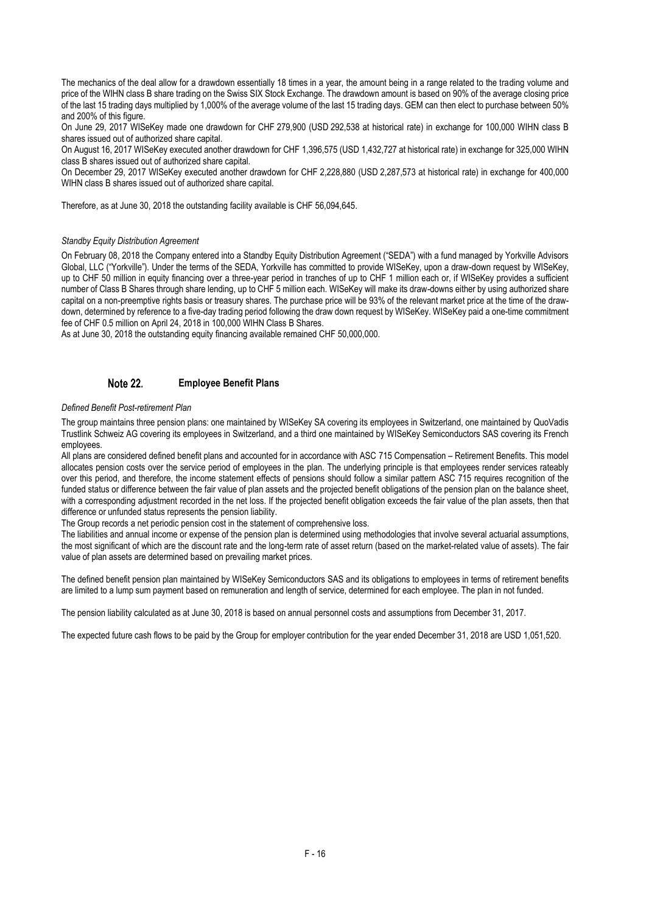The mechanics of the deal allow for a drawdown essentially 18 times in a year, the amount being in a range related to the trading volume and price of the WIHN class B share trading on the Swiss SIX Stock Exchange. The drawdown amount is based on 90% of the average closing price of the last 15 trading days multiplied by 1,000% of the average volume of the last 15 trading days. GEM can then elect to purchase between 50% and 200% of this figure.

On June 29, 2017 WISeKey made one drawdown for CHF 279,900 (USD 292,538 at historical rate) in exchange for 100,000 WIHN class B shares issued out of authorized share capital.

On August 16, 2017 WISeKey executed another drawdown for CHF 1,396,575 (USD 1,432,727 at historical rate) in exchange for 325,000 WIHN class B shares issued out of authorized share capital.

On December 29, 2017 WISeKey executed another drawdown for CHF 2,228,880 (USD 2,287,573 at historical rate) in exchange for 400,000 WIHN class B shares issued out of authorized share capital.

Therefore, as at June 30, 2018 the outstanding facility available is CHF 56,094,645.

### *Standby Equity Distribution Agreement*

On February 08, 2018 the Company entered into a Standby Equity Distribution Agreement ("SEDA") with a fund managed by Yorkville Advisors Global, LLC ("Yorkville"). Under the terms of the SEDA, Yorkville has committed to provide WISeKey, upon a draw-down request by WISeKey, up to CHF 50 million in equity financing over a three-year period in tranches of up to CHF 1 million each or, if WISeKey provides a sufficient number of Class B Shares through share lending, up to CHF 5 million each. WISeKey will make its draw-downs either by using authorized share capital on a non-preemptive rights basis or treasury shares. The purchase price will be 93% of the relevant market price at the time of the drawdown, determined by reference to a five-day trading period following the draw down request by WISeKey. WISeKey paid a one-time commitment fee of CHF 0.5 million on April 24, 2018 in 100,000 WIHN Class B Shares.

As at June 30, 2018 the outstanding equity financing available remained CHF 50,000,000.

#### Note 22. **Employee Benefit Plans**

## *Defined Benefit Post-retirement Plan*

The group maintains three pension plans: one maintained by WISeKey SA covering its employees in Switzerland, one maintained by QuoVadis Trustlink Schweiz AG covering its employees in Switzerland, and a third one maintained by WISeKey Semiconductors SAS covering its French employees.

All plans are considered defined benefit plans and accounted for in accordance with ASC 715 Compensation – Retirement Benefits. This model allocates pension costs over the service period of employees in the plan. The underlying principle is that employees render services rateably over this period, and therefore, the income statement effects of pensions should follow a similar pattern ASC 715 requires recognition of the funded status or difference between the fair value of plan assets and the projected benefit obligations of the pension plan on the balance sheet, with a corresponding adjustment recorded in the net loss. If the projected benefit obligation exceeds the fair value of the plan assets, then that difference or unfunded status represents the pension liability.

The Group records a net periodic pension cost in the statement of comprehensive loss.

The liabilities and annual income or expense of the pension plan is determined using methodologies that involve several actuarial assumptions, the most significant of which are the discount rate and the long-term rate of asset return (based on the market-related value of assets). The fair value of plan assets are determined based on prevailing market prices.

The defined benefit pension plan maintained by WISeKey Semiconductors SAS and its obligations to employees in terms of retirement benefits are limited to a lump sum payment based on remuneration and length of service, determined for each employee. The plan in not funded.

The pension liability calculated as at June 30, 2018 is based on annual personnel costs and assumptions from December 31, 2017.

The expected future cash flows to be paid by the Group for employer contribution for the year ended December 31, 2018 are USD 1,051,520.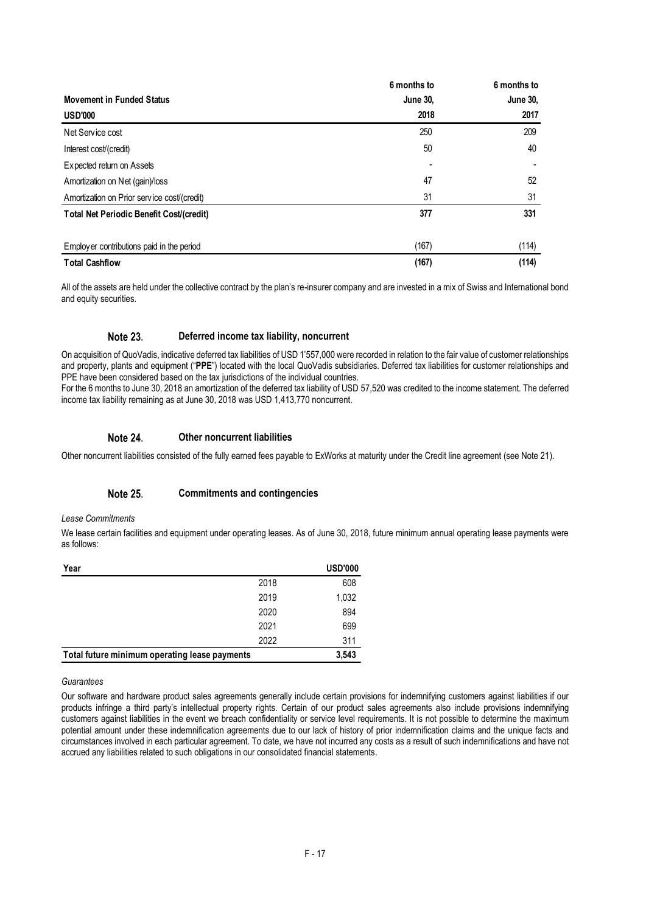|                                             | 6 months to     | 6 months to     |
|---------------------------------------------|-----------------|-----------------|
| <b>Movement in Funded Status</b>            | <b>June 30,</b> | <b>June 30.</b> |
| <b>USD'000</b>                              | 2018            | 2017            |
| Net Service cost                            | 250             | 209             |
| Interest cost/(credit)                      | 50              | 40              |
| Expected return on Assets                   |                 |                 |
| Amortization on Net (gain)/loss             | 47              | 52              |
| Amortization on Prior service cost/(credit) | 31              | 31              |
| Total Net Periodic Benefit Cost/(credit)    | 377             | 331             |
| Employer contributions paid in the period   | (167)           | (114)           |
| <b>Total Cashflow</b>                       | (167)           | (114)           |

All of the assets are held under the collective contract by the plan's re-insurer company and are invested in a mix of Swiss and International bond and equity securities.

#### Note 23. **Deferred income tax liability, noncurrent**

On acquisition of QuoVadis, indicative deferred tax liabilities of USD 1'557,000 were recorded in relation to the fair value of customer relationships and property, plants and equipment ("**PPE**") located with the local QuoVadis subsidiaries. Deferred tax liabilities for customer relationships and PPE have been considered based on the tax jurisdictions of the individual countries.

For the 6 months to June 30, 2018 an amortization of the deferred tax liability of USD 57,520 was credited to the income statement. The deferred income tax liability remaining as at June 30, 2018 was USD 1,413,770 noncurrent.

#### Note 24. **Other noncurrent liabilities**

Other noncurrent liabilities consisted of the fully earned fees payable to ExWorks at maturity under the Credit line agreement (see Note 21).

#### Note 25. **Commitments and contingencies**

### *Lease Commitments*

We lease certain facilities and equipment under operating leases. As of June 30, 2018, future minimum annual operating lease payments were as follows:

| Year                                          |      | <b>USD'000</b> |
|-----------------------------------------------|------|----------------|
|                                               | 2018 | 608            |
|                                               | 2019 | 1,032          |
|                                               | 2020 | 894            |
|                                               | 2021 | 699            |
|                                               | 2022 | 311            |
| Total future minimum operating lease payments |      | 3,543          |

### *Guarantees*

Our software and hardware product sales agreements generally include certain provisions for indemnifying customers against liabilities if our products infringe a third party's intellectual property rights. Certain of our product sales agreements also include provisions indemnifying customers against liabilities in the event we breach confidentiality or service level requirements. It is not possible to determine the maximum potential amount under these indemnification agreements due to our lack of history of prior indemnification claims and the unique facts and circumstances involved in each particular agreement. To date, we have not incurred any costs as a result of such indemnifications and have not accrued any liabilities related to such obligations in our consolidated financial statements.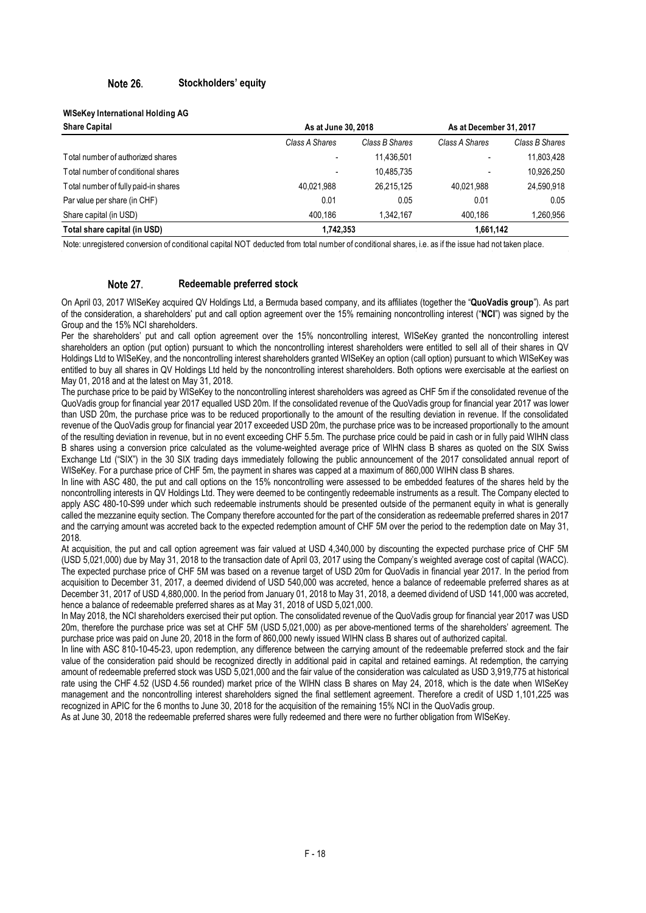#### Note 26. **Stockholders' equity**

## **WISeKey International Holding AG**

| <b>Share Capital</b>                 | As at June 30, 2018 | As at December 31, 2017 |                |                |
|--------------------------------------|---------------------|-------------------------|----------------|----------------|
|                                      | Class A Shares      | Class B Shares          | Class A Shares | Class B Shares |
| Total number of authorized shares    | ۰                   | 11.436.501              | -              | 11,803,428     |
| Total number of conditional shares   | ۰                   | 10.485.735              |                | 10,926,250     |
| Total number of fully paid-in shares | 40.021.988          | 26.215.125              | 40.021.988     | 24,590,918     |
| Par value per share (in CHF)         | 0.01                | 0.05                    | 0.01           | 0.05           |
| Share capital (in USD)               | 400.186             | 1.342.167               | 400.186        | 260,956. ا     |
| Total share capital (in USD)         | 1,742,353           |                         | 1,661,142      |                |

Note: unregistered conversion of conditional capital NOT deducted from total number of conditional shares, i.e. as if the issue had not taken place.

#### Note 27. **Redeemable preferred stock**

On April 03, 2017 WISeKey acquired QV Holdings Ltd, a Bermuda based company, and its affiliates (together the "**QuoVadis group**"). As part of the consideration, a shareholders' put and call option agreement over the 15% remaining noncontrolling interest ("**NCI**") was signed by the Group and the 15% NCI shareholders.

Per the shareholders' put and call option agreement over the 15% noncontrolling interest, WISeKey granted the noncontrolling interest shareholders an option (put option) pursuant to which the noncontrolling interest shareholders were entitled to sell all of their shares in QV Holdings Ltd to WISeKey, and the noncontrolling interest shareholders granted WISeKey an option (call option) pursuant to which WISeKey was entitled to buy all shares in QV Holdings Ltd held by the noncontrolling interest shareholders. Both options were exercisable at the earliest on May 01, 2018 and at the latest on May 31, 2018.

The purchase price to be paid by WISeKey to the noncontrolling interest shareholders was agreed as CHF 5m if the consolidated revenue of the QuoVadis group for financial year 2017 equalled USD 20m. If the consolidated revenue of the QuoVadis group for financial year 2017 was lower than USD 20m, the purchase price was to be reduced proportionally to the amount of the resulting deviation in revenue. If the consolidated revenue of the QuoVadis group for financial year 2017 exceeded USD 20m, the purchase price was to be increased proportionally to the amount of the resulting deviation in revenue, but in no event exceeding CHF 5.5m. The purchase price could be paid in cash or in fully paid WIHN class B shares using a conversion price calculated as the volume-weighted average price of WIHN class B shares as quoted on the SIX Swiss Exchange Ltd ("SIX") in the 30 SIX trading days immediately following the public announcement of the 2017 consolidated annual report of WISeKey. For a purchase price of CHF 5m, the payment in shares was capped at a maximum of 860,000 WIHN class B shares.

In line with ASC 480, the put and call options on the 15% noncontrolling were assessed to be embedded features of the shares held by the noncontrolling interests in QV Holdings Ltd. They were deemed to be contingently redeemable instruments as a result. The Company elected to apply ASC 480-10-S99 under which such redeemable instruments should be presented outside of the permanent equity in what is generally called the mezzanine equity section. The Company therefore accounted for the part of the consideration as redeemable preferred shares in 2017 and the carrying amount was accreted back to the expected redemption amount of CHF 5M over the period to the redemption date on May 31, 2018.

At acquisition, the put and call option agreement was fair valued at USD 4,340,000 by discounting the expected purchase price of CHF 5M (USD 5,021,000) due by May 31, 2018 to the transaction date of April 03, 2017 using the Company's weighted average cost of capital (WACC). The expected purchase price of CHF 5M was based on a revenue target of USD 20m for QuoVadis in financial year 2017. In the period from acquisition to December 31, 2017, a deemed dividend of USD 540,000 was accreted, hence a balance of redeemable preferred shares as at December 31, 2017 of USD 4,880,000. In the period from January 01, 2018 to May 31, 2018, a deemed dividend of USD 141,000 was accreted, hence a balance of redeemable preferred shares as at May 31, 2018 of USD 5,021,000.

In May 2018, the NCI shareholders exercised their put option. The consolidated revenue of the QuoVadis group for financial year 2017 was USD 20m, therefore the purchase price was set at CHF 5M (USD 5,021,000) as per above-mentioned terms of the shareholders' agreement. The purchase price was paid on June 20, 2018 in the form of 860,000 newly issued WIHN class B shares out of authorized capital.

In line with ASC 810-10-45-23, upon redemption, any difference between the carrying amount of the redeemable preferred stock and the fair value of the consideration paid should be recognized directly in additional paid in capital and retained earnings. At redemption, the carrying amount of redeemable preferred stock was USD 5,021,000 and the fair value of the consideration was calculated as USD 3,919,775 at historical rate using the CHF 4.52 (USD 4.56 rounded) market price of the WIHN class B shares on May 24, 2018, which is the date when WISeKey management and the noncontrolling interest shareholders signed the final settlement agreement. Therefore a credit of USD 1,101,225 was recognized in APIC for the 6 months to June 30, 2018 for the acquisition of the remaining 15% NCI in the QuoVadis group.

As at June 30, 2018 the redeemable preferred shares were fully redeemed and there were no further obligation from WISeKey.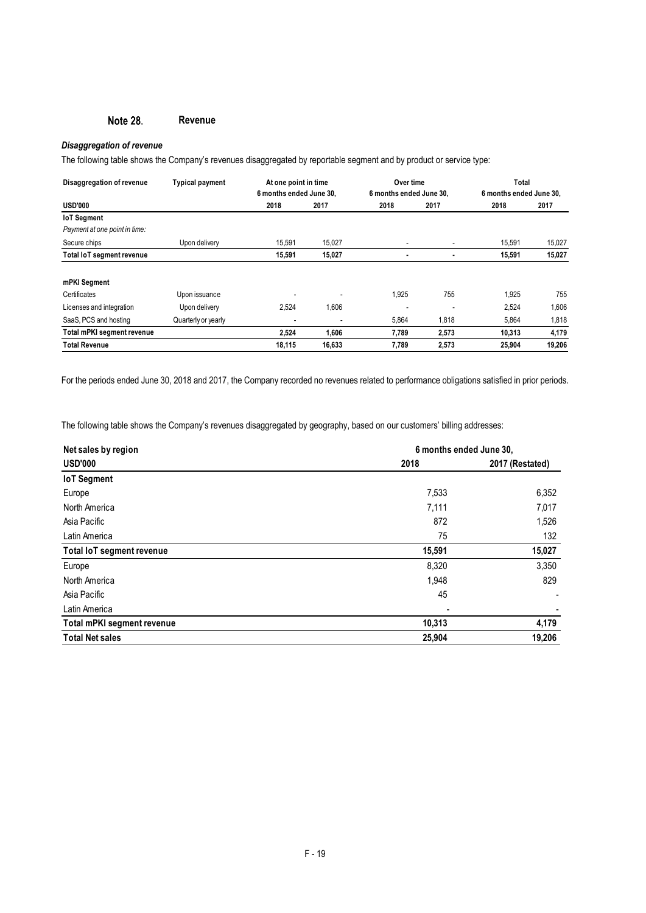#### Note 28. **Revenue**

# *Disaggregation of revenue*

The following table shows the Company's revenues disaggregated by reportable segment and by product or service type:

| Disaggregation of revenue     | <b>Typical payment</b> | At one point in time    |                         | Over time |                         | Total  |        |
|-------------------------------|------------------------|-------------------------|-------------------------|-----------|-------------------------|--------|--------|
|                               |                        | 6 months ended June 30. | 6 months ended June 30. |           | 6 months ended June 30. |        |        |
| <b>USD'000</b>                |                        | 2018                    | 2017                    | 2018      | 2017                    | 2018   | 2017   |
| <b>IoT</b> Segment            |                        |                         |                         |           |                         |        |        |
| Payment at one point in time: |                        |                         |                         |           |                         |        |        |
| Secure chips                  | Upon delivery          | 15,591                  | 15,027                  |           | ٠                       | 15,591 | 15,027 |
| Total IoT segment revenue     |                        | 15,591                  | 15,027                  |           | ٠                       | 15,591 | 15,027 |
| mPKI Segment                  |                        |                         |                         |           |                         |        |        |
| Certificates                  | Upon issuance          |                         |                         | 1.925     | 755                     | 1,925  | 755    |
| Licenses and integration      | Upon delivery          | 2,524                   | 1,606                   |           | ٠                       | 2,524  | 1,606  |
| SaaS, PCS and hosting         | Quarterly or yearly    | ٠                       |                         | 5,864     | 1,818                   | 5,864  | 1,818  |
| Total mPKI segment revenue    |                        | 2,524                   | 1,606                   | 7,789     | 2,573                   | 10,313 | 4,179  |
| Total Revenue                 |                        | 18,115                  | 16,633                  | 7,789     | 2,573                   | 25,904 | 19,206 |

For the periods ended June 30, 2018 and 2017, the Company recorded no revenues related to performance obligations satisfied in prior periods.

The following table shows the Company's revenues disaggregated by geography, based on our customers' billing addresses:

| Net sales by region              |        | 6 months ended June 30, |  |  |
|----------------------------------|--------|-------------------------|--|--|
| <b>USD'000</b>                   | 2018   | 2017 (Restated)         |  |  |
| <b>IoT</b> Segment               |        |                         |  |  |
| Europe                           | 7,533  | 6,352                   |  |  |
| North America                    | 7,111  | 7,017                   |  |  |
| Asia Pacific                     | 872    | 1,526                   |  |  |
| Latin America                    | 75     | 132                     |  |  |
| <b>Total IoT segment revenue</b> | 15,591 | 15,027                  |  |  |
| Europe                           | 8,320  | 3,350                   |  |  |
| North America                    | 1,948  | 829                     |  |  |
| Asia Pacific                     | 45     |                         |  |  |
| Latin America                    |        |                         |  |  |
| Total mPKI segment revenue       | 10,313 | 4,179                   |  |  |
| <b>Total Net sales</b>           | 25,904 | 19,206                  |  |  |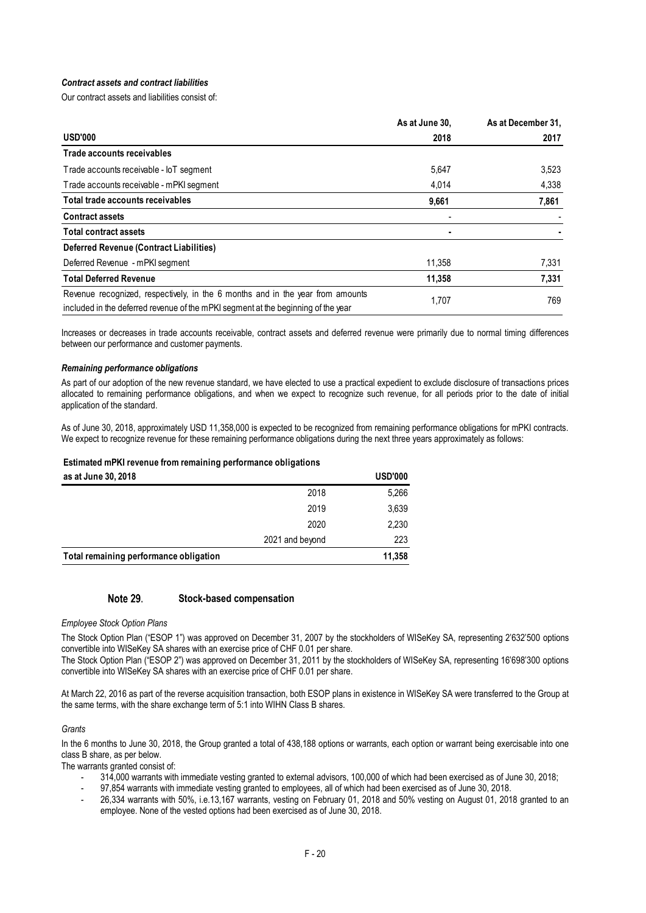# *Contract assets and contract liabilities*

Our contract assets and liabilities consist of:

|                                                                                                                                                                     | As at June 30, | As at December 31, |
|---------------------------------------------------------------------------------------------------------------------------------------------------------------------|----------------|--------------------|
| <b>USD'000</b>                                                                                                                                                      | 2018           | 2017               |
| Trade accounts receivables                                                                                                                                          |                |                    |
| Trade accounts receivable - IoT segment                                                                                                                             | 5,647          | 3,523              |
| Trade accounts receivable - mPKI segment                                                                                                                            | 4,014          | 4,338              |
| Total trade accounts receivables                                                                                                                                    | 9,661          | 7,861              |
| <b>Contract assets</b>                                                                                                                                              |                |                    |
| <b>Total contract assets</b>                                                                                                                                        |                |                    |
| Deferred Revenue (Contract Liabilities)                                                                                                                             |                |                    |
| Deferred Revenue - mPKI segment                                                                                                                                     | 11,358         | 7,331              |
| <b>Total Deferred Revenue</b>                                                                                                                                       | 11,358         | 7,331              |
| Revenue recognized, respectively, in the 6 months and in the year from amounts<br>included in the deferred revenue of the mPKI segment at the beginning of the year | 1,707          | 769                |

Increases or decreases in trade accounts receivable, contract assets and deferred revenue were primarily due to normal timing differences between our performance and customer payments.

### *Remaining performance obligations*

As part of our adoption of the new revenue standard, we have elected to use a practical expedient to exclude disclosure of transactions prices allocated to remaining performance obligations, and when we expect to recognize such revenue, for all periods prior to the date of initial application of the standard.

As of June 30, 2018, approximately USD 11,358,000 is expected to be recognized from remaining performance obligations for mPKI contracts. We expect to recognize revenue for these remaining performance obligations during the next three years approximately as follows:

### **Estimated mPKI revenue from remaining performance obligations**

| as at June 30, 2018                    |                 | <b>USD'000</b> |
|----------------------------------------|-----------------|----------------|
|                                        | 2018            | 5,266          |
|                                        | 2019            | 3,639          |
|                                        | 2020            | 2,230          |
|                                        | 2021 and beyond | 223            |
| Total remaining performance obligation |                 | 11,358         |

#### Note 29. **Stock-based compensation**

### *Employee Stock Option Plans*

The Stock Option Plan ("ESOP 1") was approved on December 31, 2007 by the stockholders of WISeKey SA, representing 2'632'500 options convertible into WISeKey SA shares with an exercise price of CHF 0.01 per share.

The Stock Option Plan ("ESOP 2") was approved on December 31, 2011 by the stockholders of WISeKey SA, representing 16'698'300 options convertible into WISeKey SA shares with an exercise price of CHF 0.01 per share.

At March 22, 2016 as part of the reverse acquisition transaction, both ESOP plans in existence in WISeKey SA were transferred to the Group at the same terms, with the share exchange term of 5:1 into WIHN Class B shares.

### *Grants*

In the 6 months to June 30, 2018, the Group granted a total of 438,188 options or warrants, each option or warrant being exercisable into one class B share, as per below.

The warrants granted consist of:

- 314,000 warrants with immediate vesting granted to external advisors, 100,000 of which had been exercised as of June 30, 2018;
- 97,854 warrants with immediate vesting granted to employees, all of which had been exercised as of June 30, 2018.
- 26,334 warrants with 50%, i.e.13,167 warrants, vesting on February 01, 2018 and 50% vesting on August 01, 2018 granted to an employee. None of the vested options had been exercised as of June 30, 2018.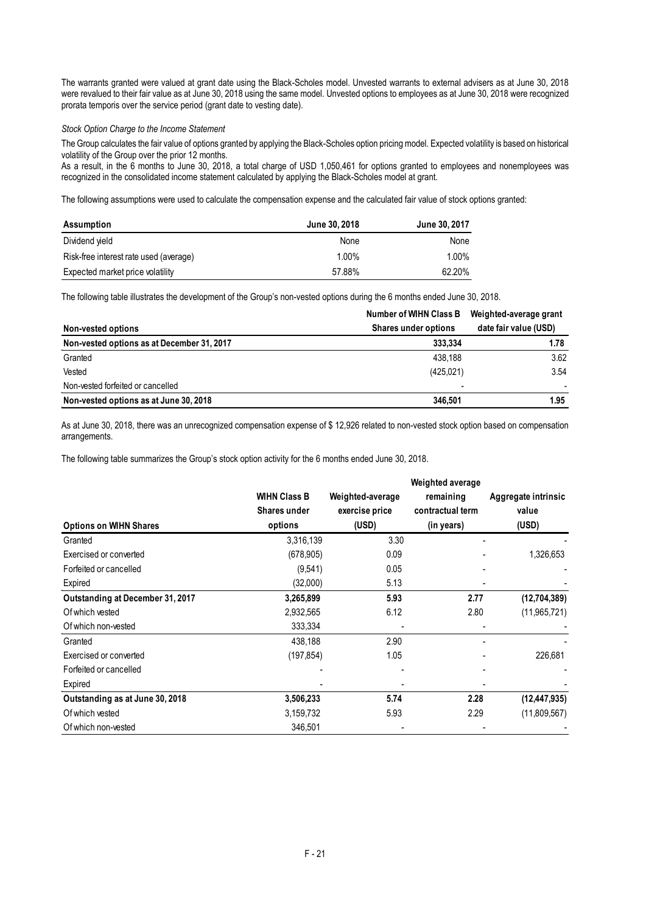The warrants granted were valued at grant date using the Black-Scholes model. Unvested warrants to external advisers as at June 30, 2018 were revalued to their fair value as at June 30, 2018 using the same model. Unvested options to employees as at June 30, 2018 were recognized prorata temporis over the service period (grant date to vesting date).

## *Stock Option Charge to the Income Statement*

The Group calculates the fair value of options granted by applying the Black-Scholes option pricing model. Expected volatility is based on historical volatility of the Group over the prior 12 months.

As a result, in the 6 months to June 30, 2018, a total charge of USD 1,050,461 for options granted to employees and nonemployees was recognized in the consolidated income statement calculated by applying the Black-Scholes model at grant.

The following assumptions were used to calculate the compensation expense and the calculated fair value of stock options granted:

| Assumption                             | June 30, 2018 | June 30, 2017 |
|----------------------------------------|---------------|---------------|
| Dividend yield                         | None          | None          |
| Risk-free interest rate used (average) | 1.00%         | 1.00%         |
| Expected market price volatility       | 57.88%        | 62.20%        |

The following table illustrates the development of the Group's non-vested options during the 6 months ended June 30, 2018.

|                                            | Number of WIHN Class B      | Weighted-average grant |
|--------------------------------------------|-----------------------------|------------------------|
| Non-vested options                         | <b>Shares under options</b> | date fair value (USD)  |
| Non-vested options as at December 31, 2017 | 333.334                     | 1.78                   |
| Granted                                    | 438.188                     | 3.62                   |
| Vested                                     | (425, 021)                  | 3.54                   |
| Non-vested forfeited or cancelled          |                             |                        |
| Non-vested options as at June 30, 2018     | 346.501                     | 1.95                   |

As at June 30, 2018, there was an unrecognized compensation expense of \$ 12,926 related to non-vested stock option based on compensation arrangements.

The following table summarizes the Group's stock option activity for the 6 months ended June 30, 2018.

|                                  |                     |                  | Weighted average |                     |
|----------------------------------|---------------------|------------------|------------------|---------------------|
|                                  | <b>WIHN Class B</b> | Weighted-average | remaining        | Aggregate intrinsic |
|                                  | Shares under        | exercise price   | contractual term | value               |
| <b>Options on WIHN Shares</b>    | options             | (USD)            | (in years)       | (USD)               |
| Granted                          | 3,316,139           | 3.30             |                  |                     |
| Exercised or converted           | (678, 905)          | 0.09             |                  | 1,326,653           |
| Forfeited or cancelled           | (9,541)             | 0.05             |                  |                     |
| Expired                          | (32,000)            | 5.13             |                  |                     |
| Outstanding at December 31, 2017 | 3,265,899           | 5.93             | 2.77             | (12,704,389)        |
| Of which vested                  | 2,932,565           | 6.12             | 2.80             | (11,965,721)        |
| Of which non-vested              | 333,334             |                  |                  |                     |
| Granted                          | 438,188             | 2.90             |                  |                     |
| Exercised or converted           | (197, 854)          | 1.05             |                  | 226,681             |
| Forfeited or cancelled           |                     |                  |                  |                     |
| Expired                          |                     |                  |                  |                     |
| Outstanding as at June 30, 2018  | 3,506,233           | 5.74             | 2.28             | (12, 447, 935)      |
| Of which vested                  | 3,159,732           | 5.93             | 2.29             | (11,809,567)        |
| Of which non-vested              | 346,501             |                  |                  |                     |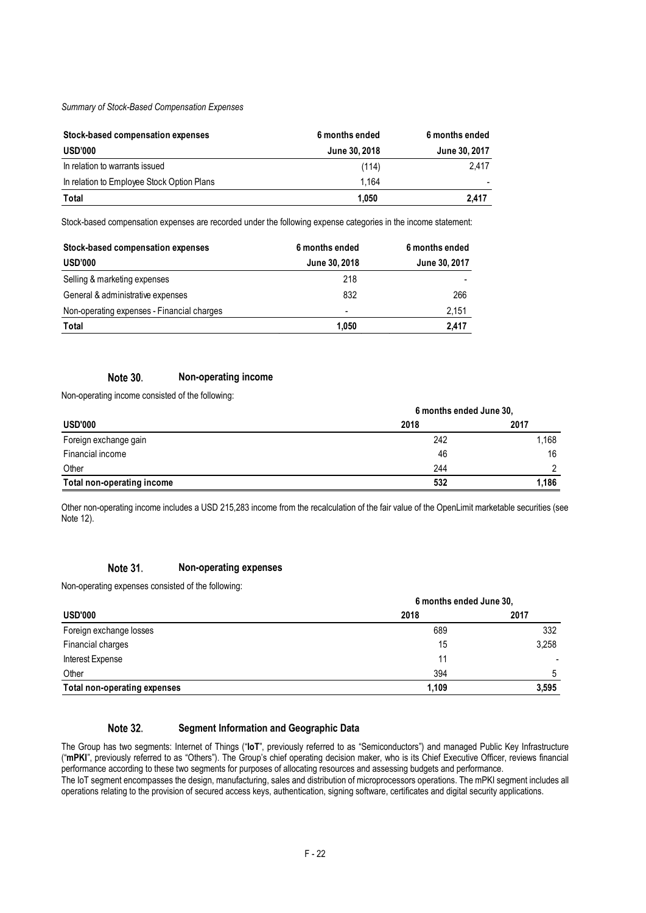*Summary of Stock-Based Compensation Expenses*

| Stock-based compensation expenses          | 6 months ended | 6 months ended |
|--------------------------------------------|----------------|----------------|
| USD'000                                    | June 30, 2018  | June 30, 2017  |
| In relation to warrants issued             | (114)          | 2.417          |
| In relation to Employee Stock Option Plans | 1.164          |                |
| Total                                      | 1.050          | 2.417          |

Stock-based compensation expenses are recorded under the following expense categories in the income statement:

| Stock-based compensation expenses          | 6 months ended           | 6 months ended |
|--------------------------------------------|--------------------------|----------------|
| <b>USD'000</b>                             | June 30, 2018            | June 30, 2017  |
| Selling & marketing expenses               | 218                      |                |
| General & administrative expenses          | 832                      | 266            |
| Non-operating expenses - Financial charges | $\overline{\phantom{a}}$ | 2,151          |
| Total                                      | 1.050                    | 2,417          |

#### **Note 30. Non-operating income**

Non-operating income consisted of the following:

| <b>USD'000</b>             | 6 months ended June 30, |       |
|----------------------------|-------------------------|-------|
|                            | 2018                    | 2017  |
| Foreign exchange gain      | 242                     | 1.168 |
| Financial income           | 46                      | 16    |
| Other                      | 244                     |       |
| Total non-operating income | 532                     | 1.186 |

Other non-operating income includes a USD 215,283 income from the recalculation of the fair value of the OpenLimit marketable securities (see Note 12).

#### Note 31. **Non-operating expenses**

Non-operating expenses consisted of the following:

| <b>USD'000</b>               | 6 months ended June 30. |       |
|------------------------------|-------------------------|-------|
|                              | 2018                    | 2017  |
| Foreign exchange losses      | 689                     | 332   |
| Financial charges            | 15                      | 3,258 |
| Interest Expense             |                         |       |
| Other                        | 394                     | 5     |
| Total non-operating expenses | 1,109                   | 3,595 |

#### Note 32. **Segment Information and Geographic Data**

The Group has two segments: Internet of Things ("**IoT**", previously referred to as "Semiconductors") and managed Public Key Infrastructure ("**mPKI**", previously referred to as "Others"). The Group's chief operating decision maker, who is its Chief Executive Officer, reviews financial performance according to these two segments for purposes of allocating resources and assessing budgets and performance. The IoT segment encompasses the design, manufacturing, sales and distribution of microprocessors operations. The mPKI segment includes all

operations relating to the provision of secured access keys, authentication, signing software, certificates and digital security applications.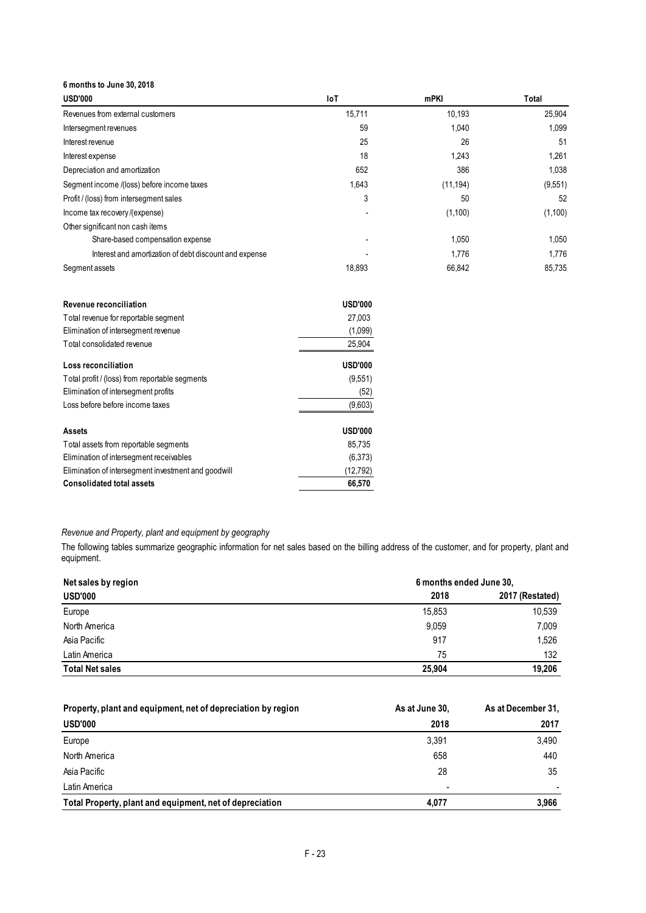**6 months to June 30, 2018**

| <b>USD'000</b>                                         | loT    | mPKI      | Total   |
|--------------------------------------------------------|--------|-----------|---------|
| Revenues from external customers                       | 15,711 | 10,193    | 25,904  |
| Intersegment revenues                                  | 59     | 1,040     | 1,099   |
| Interest revenue                                       | 25     | 26        | 51      |
| Interest expense                                       | 18     | 1,243     | 1,261   |
| Depreciation and amortization                          | 652    | 386       | 1,038   |
| Segment income /(loss) before income taxes             | 1,643  | (11, 194) | (9,551) |
| Profit / (loss) from intersegment sales                | 3      | 50        | 52      |
| Income tax recovery /(expense)                         |        | (1,100)   | (1,100) |
| Other significant non cash items                       |        |           |         |
| Share-based compensation expense                       |        | 1,050     | 1,050   |
| Interest and amortization of debt discount and expense |        | 1,776     | 1,776   |
| Segment assets                                         | 18,893 | 66,842    | 85,735  |

| Revenue reconciliation                              | <b>USD'000</b> |
|-----------------------------------------------------|----------------|
| Total revenue for reportable segment                | 27.003         |
| Elimination of intersegment revenue                 | (1,099)        |
| Total consolidated revenue                          | 25,904         |
| Loss reconciliation                                 | <b>USD'000</b> |
| Total profit / (loss) from reportable segments      | (9,551)        |
| Elimination of intersegment profits                 | (52)           |
| Loss before before income taxes                     | (9,603)        |
| <b>Assets</b>                                       | <b>USD'000</b> |
| Total assets from reportable segments               | 85.735         |
| Elimination of intersegment receivables             | (6,373)        |
| Elimination of intersegment investment and goodwill | (12,792)       |
| <b>Consolidated total assets</b>                    | 66.570         |

*Revenue and Property, plant and equipment by geography*

The following tables summarize geographic information for net sales based on the billing address of the customer, and for property, plant and equipment.

| Net sales by region    |        | 6 months ended June 30, |  |  |
|------------------------|--------|-------------------------|--|--|
| <b>USD'000</b>         | 2018   | 2017 (Restated)         |  |  |
| Europe                 | 15,853 | 10,539                  |  |  |
| North America          | 9,059  | 7,009                   |  |  |
| Asia Pacific           | 917    | 1,526                   |  |  |
| Latin America          | 75     | 132                     |  |  |
| <b>Total Net sales</b> | 25,904 | 19,206                  |  |  |

| Property, plant and equipment, net of depreciation by region | As at June 30, | As at December 31. |
|--------------------------------------------------------------|----------------|--------------------|
| <b>USD'000</b>                                               | 2018           | 2017               |
| Europe                                                       | 3.391          | 3,490              |
| North America                                                | 658            | 440                |
| Asia Pacific                                                 | 28             | 35                 |
| Latin America                                                |                |                    |
| Total Property, plant and equipment, net of depreciation     | 4.077          | 3.966              |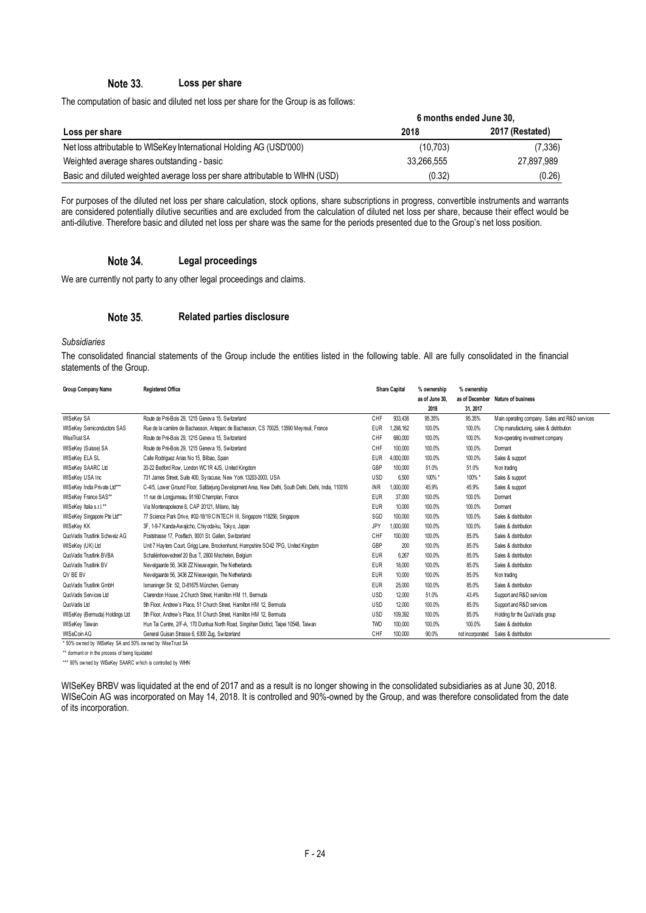#### Note 33. **Loss per share**

The computation of basic and diluted net loss per share for the Group is as follows:

|                                                                              | 6 months ended June 30, |                 |  |  |
|------------------------------------------------------------------------------|-------------------------|-----------------|--|--|
| Loss per share                                                               | 2018                    | 2017 (Restated) |  |  |
| Net loss attributable to WISeKey International Holding AG (USD'000)          | (10.703)                | (7,336)         |  |  |
| Weighted average shares outstanding - basic                                  | 33.266.555              | 27.897.989      |  |  |
| Basic and diluted weighted average loss per share attributable to WIHN (USD) | (0.32)                  | (0.26)          |  |  |

For purposes of the diluted net loss per share calculation, stock options, share subscriptions in progress, convertible instruments and warrants are considered potentially dilutive securities and are excluded from the calculation of diluted net loss per share, because their effect would be anti-dilutive. Therefore basic and diluted net loss per share was the same for the periods presented due to the Group's net loss position.

#### Note 34. **Legal proceedings**

We are currently not party to any other legal proceedings and claims.

#### Note 35. **Related parties disclosure**

*Subsidiaries*

The consolidated financial statements of the Group include the entities listed in the following table. All are fully consolidated in the financial statements of the Group.

| Group Company Name                                      | <b>Registered Office</b>                                                                             | <b>Share Capital</b> |           |                |                  | % ownership                                    | % ownership |  |
|---------------------------------------------------------|------------------------------------------------------------------------------------------------------|----------------------|-----------|----------------|------------------|------------------------------------------------|-------------|--|
|                                                         |                                                                                                      |                      |           | as of June 30, |                  | as of December Nature of business              |             |  |
|                                                         |                                                                                                      |                      |           | 2018           | 31, 2017         |                                                |             |  |
| <b>WISeKey SA</b>                                       | Route de Pré-Bois 29, 1215 Geneva 15, Switzerland                                                    | CHF                  | 933.436   | 95.35%         | 95.35%           | Main operating company. Sales and R&D services |             |  |
| <b>WISeKey Semiconductors SAS</b>                       | Rue de la carrière de Bachasson, Arteparc de Bachasson, CS 70025, 13590 Meyreuil, France             | <b>EUR</b>           | 1.298.162 | 100.0%         | 100.0%           | Chip manufacturing, sales & distribution       |             |  |
| WiseTrust SA                                            | Route de Pré-Bois 29, 1215 Geneva 15, Switzerland                                                    | CHF                  | 680,000   | 100.0%         | 100.0%           | Non-operating investment company               |             |  |
| WISeKey (Suisse) SA                                     | Route de Pré-Bois 29, 1215 Geneva 15, Switzerland                                                    | CHF                  | 100,000   | 100.0%         | 100.0%           | Dormant                                        |             |  |
| WISeKey ELA SL                                          | Calle Rodriquez Arias No 15, Bilbao, Spain                                                           | <b>EUR</b>           | 4,000,000 | 100.0%         | 100.0%           | Sales & support                                |             |  |
| <b>WISeKey SAARC Ltd</b>                                | 20-22 Bedford Row, London WC1R 4JS, United Kingdom                                                   | GBP                  | 100,000   | 51.0%          | 51.0%            | Non trading                                    |             |  |
| WISeKey USA Inc                                         | 731 James Street, Suite 400, Syracuse, New York 13203-2003, USA                                      | <b>USD</b>           | 6.500     | 100% *         | 100%*            | Sales & support                                |             |  |
| WISeKey India Private Ltd***                            | C-4/5, Lower Ground Floor, Safdarjung Development Area, New Delhi, South Delhi, Delhi, India, 110016 | <b>INR</b>           | 1.000.000 | 45.9%          | 45.9%            | Sales & support                                |             |  |
| WISeKey France SAS**                                    | 11 rue de Longjumeau, 91160 Champlan, France                                                         | <b>EUR</b>           | 37,000    | 100.0%         | 100.0%           | Dormant                                        |             |  |
| WISeKey Italia s.r.l.**                                 | Via Montenapoleone 8, CAP 20121, Milano, Italy                                                       | <b>EUR</b>           | 10,000    | 100.0%         | 100.0%           | Dormant                                        |             |  |
| WISeKey Singapore Pte Ltd**                             | 77 Science Park Drive, #02-18/19 CINTECH III, Singapore 118256, Singapore                            | SGD                  | 100,000   | 100.0%         | 100.0%           | Sales & distribution                           |             |  |
| <b>WISeKey KK</b>                                       | 3F, 1-9-7 Kanda-Awajicho, Chiyoda-ku, Tokyo, Japan                                                   | JPY                  | 1.000.000 | 100.0%         | 100.0%           | Sales & distribution                           |             |  |
| QuoVadis Trustlink Schweiz AG                           | Poststrasse 17, Postfach, 9001 St. Gallen, Switzerland                                               | CHF                  | 100,000   | 100.0%         | 85.0%            | Sales & distribution                           |             |  |
| WISeKey (UK) Ltd                                        | Unit 7 Hayters Court, Grigg Lane, Brockenhurst, Hampshire SO42 7PG, United Kingdom                   | GBP                  | 200       | 100.0%         | 85.0%            | Sales & distribution                           |             |  |
| QuoVadis Trustlink BVBA                                 | Schaliënhoevedreef 20 Bus T, 2800 Mechelen, Belgium                                                  | <b>EUR</b>           | 6.267     | 100.0%         | 85.0%            | Sales & distribution                           |             |  |
| QuoVadis Trustlink BV                                   | Nevelgaarde 56, 3436 ZZ Nieuwegein, The Netherlands                                                  | <b>EUR</b>           | 18,000    | 100.0%         | 85.0%            | Sales & distribution                           |             |  |
| QV BE BV                                                | Nevelgaarde 56, 3436 ZZ Nieuwegein, The Netherlands                                                  | <b>EUR</b>           | 10,000    | 100.0%         | 85.0%            | Non trading                                    |             |  |
| QuoVadis Trustlink GmbH                                 | Ismaninger Str. 52, D-81675 München, Germany                                                         | <b>EUR</b>           | 25,000    | 100.0%         | 85.0%            | Sales & distribution                           |             |  |
| QuoVadis Services Ltd                                   | Clarendon House, 2 Church Street, Hamilton HM 11, Bermuda                                            | USD                  | 12.000    | 51.0%          | 43.4%            | Support and R&D services                       |             |  |
| QuoVadis Ltd                                            | 5th Floor, Andrew's Place, 51 Church Street, Hamilton HM 12, Bermuda                                 | <b>USD</b>           | 12.000    | 100.0%         | 85.0%            | Support and R&D services                       |             |  |
| WISeKey (Bermuda) Holdings Ltd                          | 5th Floor, Andrew's Place, 51 Church Street, Hamilton HM 12, Bermuda                                 | USD                  | 109.392   | 100.0%         | 85.0%            | Holding for the QuoVadis group                 |             |  |
| WISeKey Taiwan                                          | Hun Tai Centre, 2/F-A, 170 Dunhua North Road, Singshan District, Taipei 10548, Taiwan                | <b>TWD</b>           | 100,000   | 100.0%         | 100.0%           | Sales & distribution                           |             |  |
| WISeCoin AG                                             | General Guisan Strasse 6, 6300 Zug, Switzerland                                                      | CHF                  | 100,000   | 90.0%          | not incorporated | Sales & distribution                           |             |  |
| * 50% owned by WISeKey SA and 50% owned by WiseTrust SA |                                                                                                      |                      |           |                |                  |                                                |             |  |

\*\* dormant or in the process of being liquidated

\*\*\* 90% ow ned by WISeKey SAARC which is controlled by WIHN

WISeKey BRBV was liquidated at the end of 2017 and as a result is no longer showing in the consolidated subsidiaries as at June 30, 2018. WISeCoin AG was incorporated on May 14, 2018. It is controlled and 90%-owned by the Group, and was therefore consolidated from the date of its incorporation.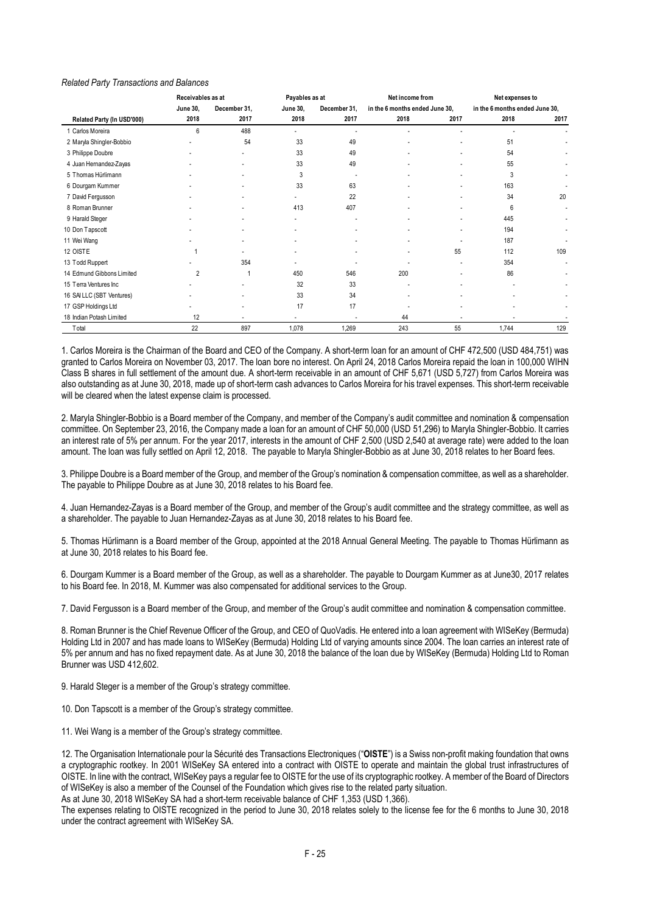### *Related Party Transactions and Balances*

| Receivables as at          |          |              | Payables as at           |              | Net income from                |      | Net expenses to                |      |
|----------------------------|----------|--------------|--------------------------|--------------|--------------------------------|------|--------------------------------|------|
|                            | June 30, | December 31, | June 30,                 | December 31, | in the 6 months ended June 30, |      | in the 6 months ended June 30, |      |
| Related Party (In USD'000) | 2018     | 2017         | 2018                     | 2017         | 2018                           | 2017 | 2018                           | 2017 |
| 1 Carlos Moreira           | 6        | 488          |                          |              |                                |      |                                |      |
| 2 Maryla Shingler-Bobbio   |          | 54           | 33                       | 49           |                                |      | 51                             |      |
| 3 Philippe Doubre          |          | $\sim$       | 33                       | 49           |                                |      | 54                             |      |
| 4 Juan Hernandez-Zayas     |          |              | 33                       | 49           |                                |      | 55                             |      |
| 5 Thomas Hürlimann         |          |              | 3                        |              |                                |      | 3                              |      |
| 6 Dourgam Kummer           |          |              | 33                       | 63           |                                |      | 163                            |      |
| 7 David Fergusson          |          |              | $\overline{\phantom{a}}$ | 22           |                                |      | 34                             | 20   |
| 8 Roman Brunner            |          |              | 413                      | 407          |                                |      | 6                              |      |
| 9 Harald Steger            |          |              | $\overline{\phantom{a}}$ |              |                                |      | 445                            |      |
| 10 Don Tapscott            |          |              | $\overline{\phantom{a}}$ |              |                                |      | 194                            |      |
| 11 Wei Wang                |          |              |                          |              |                                |      | 187                            |      |
| 12 OISTE                   |          |              |                          |              |                                | 55   | 112                            | 109  |
| 13 Todd Ruppert            |          | 354          |                          |              |                                |      | 354                            |      |
| 14 Edmund Gibbons Limited  | 2        |              | 450                      | 546          | 200                            |      | 86                             |      |
| 15 Terra Ventures Inc      |          |              | 32                       | 33           |                                |      |                                |      |
| 16 SAILLC (SBT Ventures)   |          |              | 33                       | 34           |                                |      |                                |      |
| 17 GSP Holdings Ltd        |          |              | 17                       | 17           |                                |      |                                |      |
| 18 Indian Potash Limited   | 12       |              |                          |              | 44                             |      |                                |      |
| Total                      | 22       | 897          | 1,078                    | 1,269        | 243                            | 55   | 1,744                          | 129  |

1. Carlos Moreira is the Chairman of the Board and CEO of the Company. A short-term loan for an amount of CHF 472,500 (USD 484,751) was granted to Carlos Moreira on November 03, 2017. The loan bore no interest. On April 24, 2018 Carlos Moreira repaid the loan in 100,000 WIHN Class B shares in full settlement of the amount due. A short-term receivable in an amount of CHF 5,671 (USD 5,727) from Carlos Moreira was also outstanding as at June 30, 2018, made up of short-term cash advances to Carlos Moreira for his travel expenses. This short-term receivable will be cleared when the latest expense claim is processed.

2. Maryla Shingler-Bobbio is a Board member of the Company, and member of the Company's audit committee and nomination & compensation committee. On September 23, 2016, the Company made a loan for an amount of CHF 50,000 (USD 51,296) to Maryla Shingler-Bobbio. It carries an interest rate of 5% per annum. For the year 2017, interests in the amount of CHF 2,500 (USD 2,540 at average rate) were added to the loan amount. The loan was fully settled on April 12, 2018. The payable to Maryla Shingler-Bobbio as at June 30, 2018 relates to her Board fees.

3. Philippe Doubre is a Board member of the Group, and member of the Group's nomination & compensation committee, as well as a shareholder. The payable to Philippe Doubre as at June 30, 2018 relates to his Board fee.

4. Juan Hernandez-Zayas is a Board member of the Group, and member of the Group's audit committee and the strategy committee, as well as a shareholder. The payable to Juan Hernandez-Zayas as at June 30, 2018 relates to his Board fee.

5. Thomas Hürlimann is a Board member of the Group, appointed at the 2018 Annual General Meeting. The payable to Thomas Hürlimann as at June 30, 2018 relates to his Board fee.

6. Dourgam Kummer is a Board member of the Group, as well as a shareholder. The payable to Dourgam Kummer as at June30, 2017 relates to his Board fee. In 2018, M. Kummer was also compensated for additional services to the Group.

7. David Fergusson is a Board member of the Group, and member of the Group's audit committee and nomination & compensation committee.

8. Roman Brunner is the Chief Revenue Officer of the Group, and CEO of QuoVadis. He entered into a loan agreement with WISeKey (Bermuda) Holding Ltd in 2007 and has made loans to WISeKey (Bermuda) Holding Ltd of varying amounts since 2004. The loan carries an interest rate of 5% per annum and has no fixed repayment date. As at June 30, 2018 the balance of the loan due by WISeKey (Bermuda) Holding Ltd to Roman Brunner was USD 412,602.

9. Harald Steger is a member of the Group's strategy committee.

10. Don Tapscott is a member of the Group's strategy committee.

11. Wei Wang is a member of the Group's strategy committee.

12. The Organisation Internationale pour la Sécurité des Transactions Electroniques ("**OISTE**") is a Swiss non-profit making foundation that owns a cryptographic rootkey. In 2001 WISeKey SA entered into a contract with OISTE to operate and maintain the global trust infrastructures of OISTE. In line with the contract, WISeKey pays a regular fee to OISTE for the use of its cryptographic rootkey. A member of the Board of Directors of WISeKey is also a member of the Counsel of the Foundation which gives rise to the related party situation.

As at June 30, 2018 WISeKey SA had a short-term receivable balance of CHF 1,353 (USD 1,366).

The expenses relating to OISTE recognized in the period to June 30, 2018 relates solely to the license fee for the 6 months to June 30, 2018 under the contract agreement with WISeKey SA.